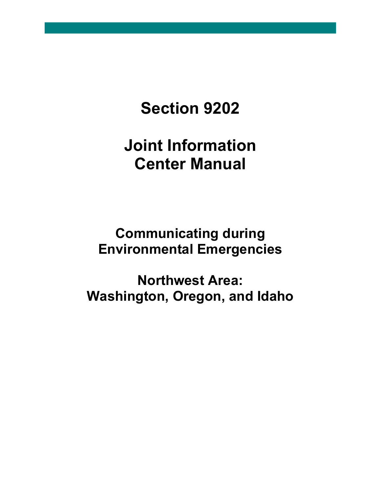# **Section 9202**

# **Joint Information Center Manual**

# **Communicating during Environmental Emergencies**

**Northwest Area: Washington, Oregon, and Idaho**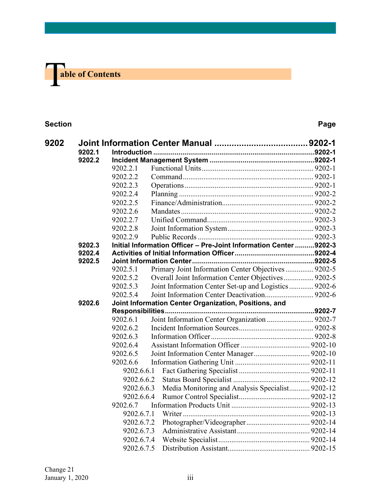

#### **Section Page**

| 9202 |                  |            |                                                                   |  |
|------|------------------|------------|-------------------------------------------------------------------|--|
|      | 9202.1<br>9202.2 |            |                                                                   |  |
|      |                  |            |                                                                   |  |
|      |                  | 9202.2.1   |                                                                   |  |
|      |                  | 9202.2.2   |                                                                   |  |
|      |                  | 9202.2.3   |                                                                   |  |
|      |                  | 9202.2.4   |                                                                   |  |
|      |                  | 9202.2.5   |                                                                   |  |
|      |                  | 9202.2.6   |                                                                   |  |
|      |                  | 9202.2.7   |                                                                   |  |
|      |                  | 9202.2.8   |                                                                   |  |
|      |                  | 9202.2.9   |                                                                   |  |
|      | 9202.3           |            | Initial Information Officer - Pre-Joint Information Center 9202-3 |  |
|      | 9202.4<br>9202.5 |            |                                                                   |  |
|      |                  | 9202.5.1   | Primary Joint Information Center Objectives 9202-5                |  |
|      |                  | 9202.5.2   | Overall Joint Information Center Objectives 9202-5                |  |
|      |                  | 9202.5.3   | Joint Information Center Set-up and Logistics  9202-6             |  |
|      |                  | 9202.5.4   |                                                                   |  |
|      | 9202.6           |            | Joint Information Center Organization, Positions, and             |  |
|      |                  |            | Responsibilities                                                  |  |
|      |                  | 9202.6.1   | Joint Information Center Organization  9202-7                     |  |
|      |                  | 9202.6.2   |                                                                   |  |
|      |                  | 9202.6.3   |                                                                   |  |
|      |                  | 9202.6.4   |                                                                   |  |
|      |                  | 9202.6.5   |                                                                   |  |
|      |                  | 9202.6.6   |                                                                   |  |
|      |                  | 9202.6.6.1 |                                                                   |  |
|      |                  | 9202.6.6.2 |                                                                   |  |
|      |                  | 9202.6.6.3 | Media Monitoring and Analysis Specialist 9202-12                  |  |
|      |                  | 9202.6.6.4 |                                                                   |  |
|      |                  | 9202.6.7   |                                                                   |  |
|      |                  | 9202.6.7.1 |                                                                   |  |
|      |                  | 9202.6.7.2 |                                                                   |  |
|      |                  | 9202.6.7.3 |                                                                   |  |
|      |                  | 9202.6.7.4 |                                                                   |  |
|      |                  | 9202.6.7.5 |                                                                   |  |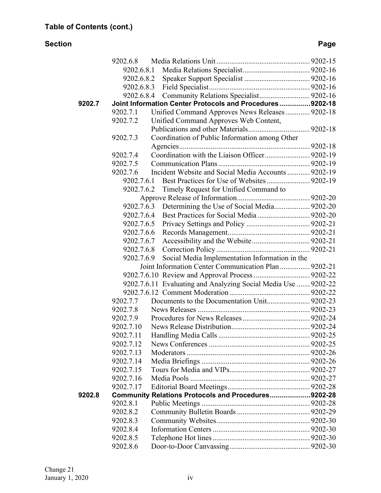#### **Section Page**

|        | 9202.6.8   |                                                                |  |
|--------|------------|----------------------------------------------------------------|--|
|        |            |                                                                |  |
|        | 9202.6.8.2 |                                                                |  |
|        | 9202.6.8.3 |                                                                |  |
|        |            | 9202.6.8.4 Community Relations Specialist 9202-16              |  |
| 9202.7 |            | Joint Information Center Protocols and Procedures9202-18       |  |
|        | 9202.7.1   | Unified Command Approves News Releases 9202-18                 |  |
|        | 9202.7.2   | Unified Command Approves Web Content,                          |  |
|        |            |                                                                |  |
|        | 9202.7.3   | Coordination of Public Information among Other                 |  |
|        |            |                                                                |  |
|        | 9202.7.4   |                                                                |  |
|        | 9202.7.5   |                                                                |  |
|        | 9202.7.6   | Incident Website and Social Media Accounts  9202-19            |  |
|        | 9202.7.6.1 |                                                                |  |
|        | 9202.7.6.2 | Timely Request for Unified Command to                          |  |
|        |            |                                                                |  |
|        | 9202.7.6.3 | Determining the Use of Social Media 9202-20                    |  |
|        | 9202.7.6.4 |                                                                |  |
|        | 9202.7.6.5 |                                                                |  |
|        | 9202.7.6.6 |                                                                |  |
|        | 9202.7.6.7 |                                                                |  |
|        | 9202.7.6.8 |                                                                |  |
|        | 9202.7.6.9 | Social Media Implementation Information in the                 |  |
|        |            | Joint Information Center Communication Plan  9202-21           |  |
|        |            |                                                                |  |
|        |            | 9202.7.6.11 Evaluating and Analyzing Social Media Use  9202-22 |  |
|        |            |                                                                |  |
|        | 9202.7.7   |                                                                |  |
|        | 9202.7.8   |                                                                |  |
|        | 9202.7.9   |                                                                |  |
|        | 9202.7.10  |                                                                |  |
|        |            |                                                                |  |
|        | 9202.7.12  |                                                                |  |
|        | 9202.7.13  |                                                                |  |
|        | 9202.7.14  |                                                                |  |
|        | 9202.7.15  |                                                                |  |
|        | 9202.7.16  |                                                                |  |
|        | 9202.7.17  |                                                                |  |
| 9202.8 |            | Community Relations Protocols and Procedures9202-28            |  |
|        | 9202.8.1   |                                                                |  |
|        | 9202.8.2   |                                                                |  |
|        | 9202.8.3   |                                                                |  |
|        | 9202.8.4   |                                                                |  |
|        | 9202.8.5   |                                                                |  |
|        | 9202.8.6   |                                                                |  |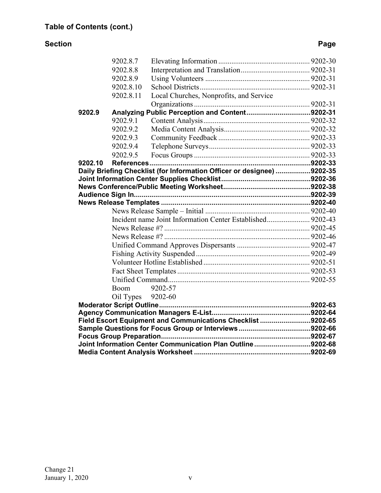#### **Section Page**

|                                                             | 9202.8.7          |                                                                        |  |  |  |
|-------------------------------------------------------------|-------------------|------------------------------------------------------------------------|--|--|--|
|                                                             | 9202.8.8          |                                                                        |  |  |  |
|                                                             | 9202.8.9          |                                                                        |  |  |  |
|                                                             | 9202.8.10         |                                                                        |  |  |  |
|                                                             | 9202.8.11         | Local Churches, Nonprofits, and Service                                |  |  |  |
|                                                             |                   |                                                                        |  |  |  |
| 9202.9                                                      |                   | Analyzing Public Perception and Content9202-31                         |  |  |  |
|                                                             | 9202.9.1          |                                                                        |  |  |  |
|                                                             | 9202.9.2          |                                                                        |  |  |  |
|                                                             | 9202.9.3          |                                                                        |  |  |  |
|                                                             | 9202.9.4          |                                                                        |  |  |  |
|                                                             | 9202.9.5          |                                                                        |  |  |  |
| 9202.10                                                     |                   |                                                                        |  |  |  |
|                                                             |                   | Daily Briefing Checklist (for Information Officer or designee) 9202-35 |  |  |  |
|                                                             |                   |                                                                        |  |  |  |
|                                                             |                   |                                                                        |  |  |  |
|                                                             |                   |                                                                        |  |  |  |
|                                                             |                   |                                                                        |  |  |  |
|                                                             |                   |                                                                        |  |  |  |
|                                                             |                   | Incident name Joint Information Center Established 9202-43             |  |  |  |
|                                                             |                   |                                                                        |  |  |  |
|                                                             |                   |                                                                        |  |  |  |
|                                                             |                   |                                                                        |  |  |  |
|                                                             |                   |                                                                        |  |  |  |
|                                                             |                   |                                                                        |  |  |  |
|                                                             |                   |                                                                        |  |  |  |
|                                                             |                   |                                                                        |  |  |  |
|                                                             | Boom              | 9202-57                                                                |  |  |  |
|                                                             | Oil Types 9202-60 |                                                                        |  |  |  |
|                                                             |                   |                                                                        |  |  |  |
|                                                             |                   |                                                                        |  |  |  |
| Field Escort Equipment and Communications Checklist 9202-65 |                   |                                                                        |  |  |  |
|                                                             |                   |                                                                        |  |  |  |
| Joint Information Center Communication Plan Outline9202-68  |                   |                                                                        |  |  |  |
|                                                             |                   |                                                                        |  |  |  |
|                                                             |                   |                                                                        |  |  |  |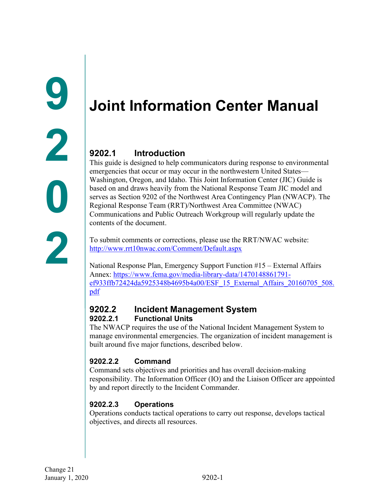# <span id="page-4-1"></span><span id="page-4-0"></span>**Joint Information Center Manual**

# <span id="page-4-2"></span>**9202.1 Introduction**

This guide is designed to help communicators during response to environmental emergencies that occur or may occur in the northwestern United States— Washington, Oregon, and Idaho. This Joint Information Center (JIC) Guide is based on and draws heavily from the National Response Team JIC model and serves as Section 9202 of the Northwest Area Contingency Plan (NWACP). The Regional Response Team (RRT)/Northwest Area Committee (NWAC) Communications and Public Outreach Workgroup will regularly update the contents of the document.

To submit comments or corrections, please use the RRT/NWAC website: <http://www.rrt10nwac.com/Comment/Default.aspx>

National Response Plan, Emergency Support Function #15 – External Affairs Annex: [https://www.fema.gov/media-library-data/1470148861791](https://www.fema.gov/media-library-data/1470148861791-ef933ffb72424da5925348b4695b4a00/ESF_15_External_Affairs_20160705_508.pdf) [ef933ffb72424da5925348b4695b4a00/ESF\\_15\\_External\\_Affairs\\_20160705\\_508.](https://www.fema.gov/media-library-data/1470148861791-ef933ffb72424da5925348b4695b4a00/ESF_15_External_Affairs_20160705_508.pdf) [pdf](https://www.fema.gov/media-library-data/1470148861791-ef933ffb72424da5925348b4695b4a00/ESF_15_External_Affairs_20160705_508.pdf)

#### <span id="page-4-3"></span>**9202.2 Incident Management System 9202.2.1 Functional Units**

<span id="page-4-4"></span>The NWACP requires the use of the National Incident Management System to manage environmental emergencies. The organization of incident management is built around five major functions, described below.

### <span id="page-4-5"></span>**9202.2.2 Command**

Command sets objectives and priorities and has overall decision-making responsibility. The Information Officer (IO) and the Liaison Officer are appointed by and report directly to the Incident Commander.

### <span id="page-4-6"></span>**9202.2.3 Operations**

Operations conducts tactical operations to carry out response, develops tactical objectives, and directs all resources.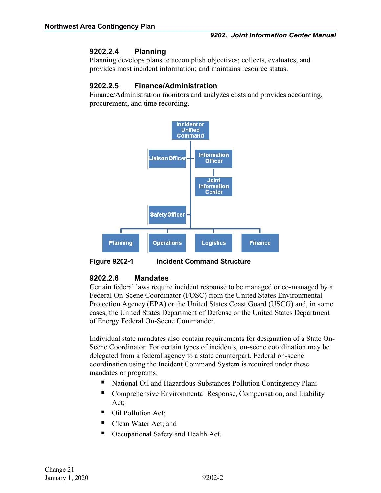#### <span id="page-5-0"></span>**9202.2.4 Planning**

Planning develops plans to accomplish objectives; collects, evaluates, and provides most incident information; and maintains resource status.

#### <span id="page-5-1"></span>**9202.2.5 Finance/Administration**

Finance/Administration monitors and analyzes costs and provides accounting, procurement, and time recording.



**Figure 9202-1 Incident Command Structure**

#### <span id="page-5-2"></span>**9202.2.6 Mandates**

Certain federal laws require incident response to be managed or co-managed by a Federal On-Scene Coordinator (FOSC) from the United States Environmental Protection Agency (EPA) or the United States Coast Guard (USCG) and, in some cases, the United States Department of Defense or the United States Department of Energy Federal On-Scene Commander.

Individual state mandates also contain requirements for designation of a State On-Scene Coordinator. For certain types of incidents, on-scene coordination may be delegated from a federal agency to a state counterpart. Federal on-scene coordination using the Incident Command System is required under these mandates or programs:

- National Oil and Hazardous Substances Pollution Contingency Plan;
- Comprehensive Environmental Response, Compensation, and Liability Act;
- Oil Pollution Act:
- Clean Water Act; and
- Occupational Safety and Health Act.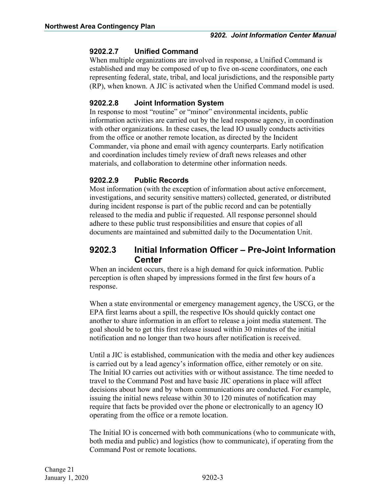#### <span id="page-6-0"></span>**9202.2.7 Unified Command**

When multiple organizations are involved in response, a Unified Command is established and may be composed of up to five on-scene coordinators, one each representing federal, state, tribal, and local jurisdictions, and the responsible party (RP), when known. A JIC is activated when the Unified Command model is used.

#### <span id="page-6-1"></span>**9202.2.8 Joint Information System**

In response to most "routine" or "minor" environmental incidents, public information activities are carried out by the lead response agency, in coordination with other organizations. In these cases, the lead IO usually conducts activities from the office or another remote location, as directed by the Incident Commander, via phone and email with agency counterparts. Early notification and coordination includes timely review of draft news releases and other materials, and collaboration to determine other information needs.

#### <span id="page-6-2"></span>**9202.2.9 Public Records**

Most information (with the exception of information about active enforcement, investigations, and security sensitive matters) collected, generated, or distributed during incident response is part of the public record and can be potentially released to the media and public if requested. All response personnel should adhere to these public trust responsibilities and ensure that copies of all documents are maintained and submitted daily to the Documentation Unit.

#### <span id="page-6-3"></span>**9202.3 Initial Information Officer – Pre-Joint Information Center**

When an incident occurs, there is a high demand for quick information. Public perception is often shaped by impressions formed in the first few hours of a response.

When a state environmental or emergency management agency, the USCG, or the EPA first learns about a spill, the respective IOs should quickly contact one another to share information in an effort to release a joint media statement. The goal should be to get this first release issued within 30 minutes of the initial notification and no longer than two hours after notification is received.

Until a JIC is established, communication with the media and other key audiences is carried out by a lead agency's information office, either remotely or on site. The Initial IO carries out activities with or without assistance. The time needed to travel to the Command Post and have basic JIC operations in place will affect decisions about how and by whom communications are conducted. For example, issuing the initial news release within 30 to 120 minutes of notification may require that facts be provided over the phone or electronically to an agency IO operating from the office or a remote location.

The Initial IO is concerned with both communications (who to communicate with, both media and public) and logistics (how to communicate), if operating from the Command Post or remote locations.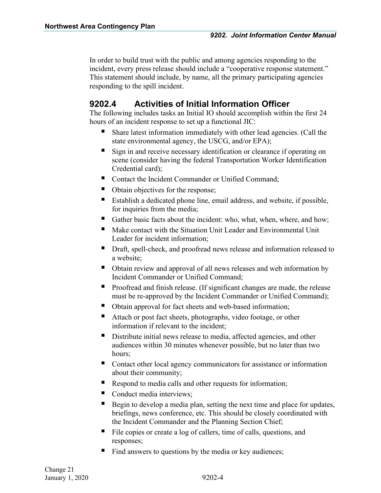In order to build trust with the public and among agencies responding to the incident, every press release should include a "cooperative response statement." This statement should include, by name, all the primary participating agencies responding to the spill incident.

## <span id="page-7-0"></span>**9202.4 Activities of Initial Information Officer**

The following includes tasks an Initial IO should accomplish within the first 24 hours of an incident response to set up a functional JIC:

- Share latest information immediately with other lead agencies. (Call the state environmental agency, the USCG, and/or EPA);
- Sign in and receive necessary identification or clearance if operating on scene (consider having the federal Transportation Worker Identification Credential card);
- Contact the Incident Commander or Unified Command;
- Obtain objectives for the response;
- Establish a dedicated phone line, email address, and website, if possible, for inquiries from the media;
- Gather basic facts about the incident: who, what, when, where, and how;
- Make contact with the Situation Unit Leader and Environmental Unit Leader for incident information;
- Draft, spell-check, and proofread news release and information released to a website;
- Obtain review and approval of all news releases and web information by Incident Commander or Unified Command;
- **Proofread and finish release.** (If significant changes are made, the release must be re-approved by the Incident Commander or Unified Command);
- Obtain approval for fact sheets and web-based information;
- Attach or post fact sheets, photographs, video footage, or other information if relevant to the incident;
- Distribute initial news release to media, affected agencies, and other audiences within 30 minutes whenever possible, but no later than two hours;
- Contact other local agency communicators for assistance or information about their community;
- Respond to media calls and other requests for information;
- Conduct media interviews;
- Begin to develop a media plan, setting the next time and place for updates, briefings, news conference, etc. This should be closely coordinated with the Incident Commander and the Planning Section Chief;
- File copies or create a log of callers, time of calls, questions, and responses;
- Find answers to questions by the media or key audiences;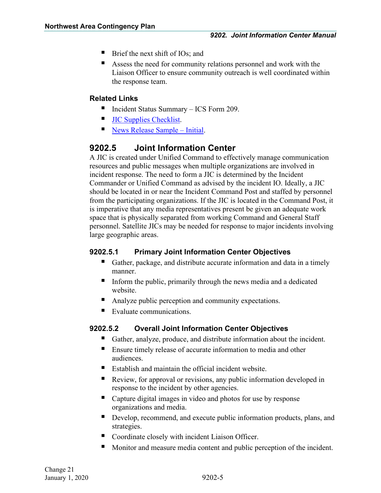- $\blacksquare$  Brief the next shift of IOs; and
- Assess the need for community relations personnel and work with the Liaison Officer to ensure community outreach is well coordinated within the response team.

#### **Related Links**

- Incident Status Summary ICS Form 209.
- **[JIC Supplies Checklist.](#page-39-0)**
- [News Release Sample –](#page-43-1) Initial.

## <span id="page-8-0"></span>**9202.5 Joint Information Center**

A JIC is created under Unified Command to effectively manage communication resources and public messages when multiple organizations are involved in incident response. The need to form a JIC is determined by the Incident Commander or Unified Command as advised by the incident IO. Ideally, a JIC should be located in or near the Incident Command Post and staffed by personnel from the participating organizations. If the JIC is located in the Command Post, it is imperative that any media representatives present be given an adequate work space that is physically separated from working Command and General Staff personnel. Satellite JICs may be needed for response to major incidents involving large geographic areas.

### <span id="page-8-1"></span>**9202.5.1 Primary Joint Information Center Objectives**

- Gather, package, and distribute accurate information and data in a timely manner.
- Inform the public, primarily through the news media and a dedicated website.
- Analyze public perception and community expectations.
- Evaluate communications.

### <span id="page-8-2"></span>**9202.5.2 Overall Joint Information Center Objectives**

- Gather, analyze, produce, and distribute information about the incident.
- Ensure timely release of accurate information to media and other audiences.
- Establish and maintain the official incident website.
- Review, for approval or revisions, any public information developed in response to the incident by other agencies.
- Capture digital images in video and photos for use by response organizations and media.
- Develop, recommend, and execute public information products, plans, and strategies.
- Coordinate closely with incident Liaison Officer.
- Monitor and measure media content and public perception of the incident.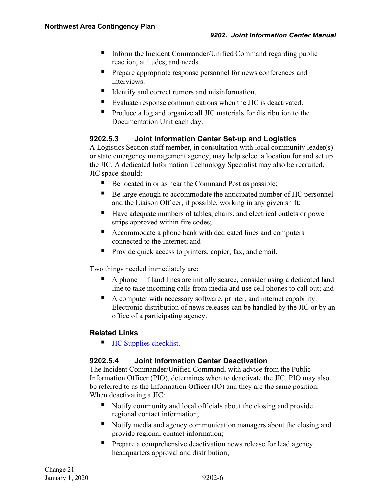- Inform the Incident Commander/Unified Command regarding public reaction, attitudes, and needs.
- **Prepare appropriate response personnel for news conferences and** interviews.
- Identify and correct rumors and misinformation.
- Evaluate response communications when the JIC is deactivated.
- **Produce a log and organize all JIC materials for distribution to the** Documentation Unit each day.

#### <span id="page-9-0"></span>**9202.5.3 Joint Information Center Set-up and Logistics**

A Logistics Section staff member, in consultation with local community leader(s) or state emergency management agency, may help select a location for and set up the JIC. A dedicated Information Technology Specialist may also be recruited. JIC space should:

- Be located in or as near the Command Post as possible;
- Be large enough to accommodate the anticipated number of JIC personnel and the Liaison Officer, if possible, working in any given shift;
- Have adequate numbers of tables, chairs, and electrical outlets or power strips approved within fire codes;
- Accommodate a phone bank with dedicated lines and computers connected to the Internet; and
- **Provide quick access to printers, copier, fax, and email.**

Two things needed immediately are:

- A phone if land lines are initially scarce, consider using a dedicated land line to take incoming calls from media and use cell phones to call out; and
- A computer with necessary software, printer, and internet capability. Electronic distribution of news releases can be handled by the JIC or by an office of a participating agency.

#### **Related Links**

**[JIC Supplies checklist.](#page-39-0)** 

#### <span id="page-9-1"></span>**9202.5.4 Joint Information Center Deactivation**

The Incident Commander/Unified Command, with advice from the Public Information Officer (PIO), determines when to deactivate the JIC. PIO may also be referred to as the Information Officer (IO) and they are the same position. When deactivating a JIC:

- Notify community and local officials about the closing and provide regional contact information;
- Notify media and agency communication managers about the closing and provide regional contact information;
- **Prepare a comprehensive deactivation news release for lead agency** headquarters approval and distribution;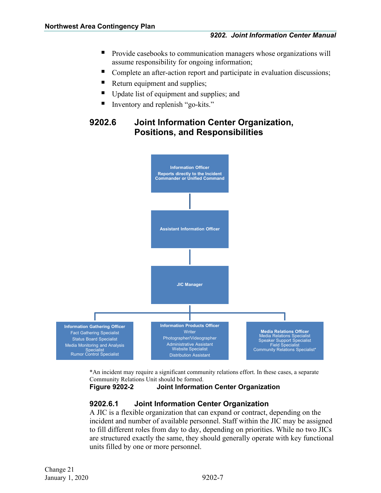- **Provide casebooks to communication managers whose organizations will** assume responsibility for ongoing information;
- Complete an after-action report and participate in evaluation discussions;
- Return equipment and supplies;
- Update list of equipment and supplies; and
- Inventory and replenish "go-kits."

## <span id="page-10-0"></span>**9202.6 Joint Information Center Organization, Positions, and Responsibilities**



\*An incident may require a significant community relations effort. In these cases, a separate Community Relations Unit should be formed.

**Figure 9202-2 Joint Information Center Organization**

#### <span id="page-10-1"></span>**9202.6.1 Joint Information Center Organization**

A JIC is a flexible organization that can expand or contract, depending on the incident and number of available personnel. Staff within the JIC may be assigned to fill different roles from day to day, depending on priorities. While no two JICs are structured exactly the same, they should generally operate with key functional units filled by one or more personnel.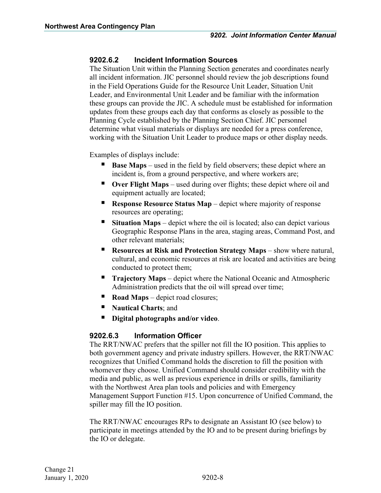#### <span id="page-11-0"></span>**9202.6.2 Incident Information Sources**

The Situation Unit within the Planning Section generates and coordinates nearly all incident information. JIC personnel should review the job descriptions found in the Field Operations Guide for the Resource Unit Leader, Situation Unit Leader, and Environmental Unit Leader and be familiar with the information these groups can provide the JIC. A schedule must be established for information updates from these groups each day that conforms as closely as possible to the Planning Cycle established by the Planning Section Chief. JIC personnel determine what visual materials or displays are needed for a press conference, working with the Situation Unit Leader to produce maps or other display needs.

Examples of displays include:

- **Base Maps** used in the field by field observers; these depict where an incident is, from a ground perspective, and where workers are;
- **Over Flight Maps** used during over flights; these depict where oil and equipment actually are located;
- **Response Resource Status Map** depict where majority of response resources are operating;
- **Situation Maps** depict where the oil is located; also can depict various Geographic Response Plans in the area, staging areas, Command Post, and other relevant materials;
- **Resources at Risk and Protection Strategy Maps** show where natural, cultural, and economic resources at risk are located and activities are being conducted to protect them;
- **Trajectory Maps** depict where the National Oceanic and Atmospheric Administration predicts that the oil will spread over time;
- **Road Maps** depict road closures;
- **Nautical Charts**; and
- **Digital photographs and/or video**.

#### <span id="page-11-1"></span>**9202.6.3 Information Officer**

The RRT/NWAC prefers that the spiller not fill the IO position. This applies to both government agency and private industry spillers. However, the RRT/NWAC recognizes that Unified Command holds the discretion to fill the position with whomever they choose. Unified Command should consider credibility with the media and public, as well as previous experience in drills or spills, familiarity with the Northwest Area plan tools and policies and with Emergency Management Support Function #15. Upon concurrence of Unified Command, the spiller may fill the IO position.

The RRT/NWAC encourages RPs to designate an Assistant IO (see below) to participate in meetings attended by the IO and to be present during briefings by the IO or delegate.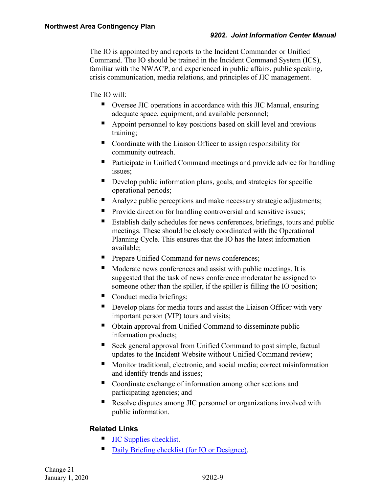The IO is appointed by and reports to the Incident Commander or Unified Command. The IO should be trained in the Incident Command System (ICS), familiar with the NWACP, and experienced in public affairs, public speaking, crisis communication, media relations, and principles of JIC management.

The IO will:

- Oversee JIC operations in accordance with this JIC Manual, ensuring adequate space, equipment, and available personnel;
- Appoint personnel to key positions based on skill level and previous training;
- Coordinate with the Liaison Officer to assign responsibility for community outreach.
- Participate in Unified Command meetings and provide advice for handling issues;
- Develop public information plans, goals, and strategies for specific operational periods;
- Analyze public perceptions and make necessary strategic adjustments;
- **Provide direction for handling controversial and sensitive issues;**
- Establish daily schedules for news conferences, briefings, tours and public meetings. These should be closely coordinated with the Operational Planning Cycle. This ensures that the IO has the latest information available;
- Prepare Unified Command for news conferences;
- Moderate news conferences and assist with public meetings. It is suggested that the task of news conference moderator be assigned to someone other than the spiller, if the spiller is filling the IO position;
- Conduct media briefings;
- Develop plans for media tours and assist the Liaison Officer with very important person (VIP) tours and visits;
- Obtain approval from Unified Command to disseminate public information products;
- Seek general approval from Unified Command to post simple, factual updates to the Incident Website without Unified Command review;
- **Monitor traditional, electronic, and social media; correct misinformation** and identify trends and issues;
- Coordinate exchange of information among other sections and participating agencies; and
- Resolve disputes among JIC personnel or organizations involved with public information.

### **Related Links**

- [JIC Supplies checklist.](#page-39-0)
- [Daily Briefing checklist \(for IO or Designee\).](#page-38-0)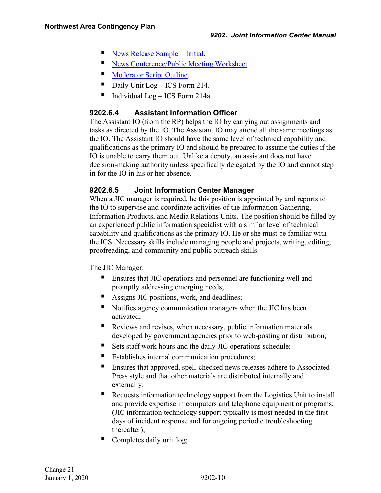- [News Release Sample –](#page-43-1) Initial.
- [News Conference/Public Meeting Worksheet.](#page-41-0)
- [Moderator Script Outline.](#page-66-0)
- Daily Unit Log ICS Form 214.
- Individual  $Log ICS$  Form 214a.

#### <span id="page-13-0"></span>**9202.6.4 Assistant Information Officer**

The Assistant IO (from the RP) helps the IO by carrying out assignments and tasks as directed by the IO. The Assistant IO may attend all the same meetings as the IO. The Assistant IO should have the same level of technical capability and qualifications as the primary IO and should be prepared to assume the duties if the IO is unable to carry them out. Unlike a deputy, an assistant does not have decision-making authority unless specifically delegated by the IO and cannot step in for the IO in his or her absence.

#### <span id="page-13-1"></span>**9202.6.5 Joint Information Center Manager**

When a JIC manager is required, he this position is appointed by and reports to the IO to supervise and coordinate activities of the Information Gathering, Information Products, and Media Relations Units. The position should be filled by an experienced public information specialist with a similar level of technical capability and qualifications as the primary IO. He or she must be familiar with the ICS. Necessary skills include managing people and projects, writing, editing, proofreading, and community and public outreach skills.

The JIC Manager:

- **Ensures that JIC operations and personnel are functioning well and** promptly addressing emerging needs;
- Assigns JIC positions, work, and deadlines;
- Notifies agency communication managers when the JIC has been activated;
- Reviews and revises, when necessary, public information materials developed by government agencies prior to web-posting or distribution;
- Sets staff work hours and the daily JIC operations schedule;
- Establishes internal communication procedures;
- Ensures that approved, spell-checked news releases adhere to Associated Press style and that other materials are distributed internally and externally;
- Requests information technology support from the Logistics Unit to install and provide expertise in computers and telephone equipment or programs; (JIC information technology support typically is most needed in the first days of incident response and for ongoing periodic troubleshooting thereafter);
- Completes daily unit log;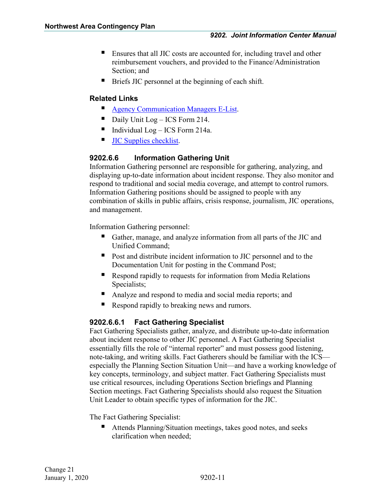- Ensures that all JIC costs are accounted for, including travel and other reimbursement vouchers, and provided to the Finance/Administration Section; and
- Briefs JIC personnel at the beginning of each shift.

#### **Related Links**

- **[Agency Communication Managers E-List.](#page-67-0)**
- Daily Unit Log ICS Form 214.
- Individual Log ICS Form 214a.
- **[JIC Supplies checklist.](#page-39-0)**

#### <span id="page-14-0"></span>**9202.6.6 Information Gathering Unit**

Information Gathering personnel are responsible for gathering, analyzing, and displaying up-to-date information about incident response. They also monitor and respond to traditional and social media coverage, and attempt to control rumors. Information Gathering positions should be assigned to people with any combination of skills in public affairs, crisis response, journalism, JIC operations, and management.

Information Gathering personnel:

- Gather, manage, and analyze information from all parts of the JIC and Unified Command;
- **Post and distribute incident information to JIC personnel and to the** Documentation Unit for posting in the Command Post;
- Respond rapidly to requests for information from Media Relations Specialists;
- Analyze and respond to media and social media reports; and
- Respond rapidly to breaking news and rumors.

#### <span id="page-14-1"></span>**9202.6.6.1 Fact Gathering Specialist**

Fact Gathering Specialists gather, analyze, and distribute up-to-date information about incident response to other JIC personnel. A Fact Gathering Specialist essentially fills the role of "internal reporter" and must possess good listening, note-taking, and writing skills. Fact Gatherers should be familiar with the ICS especially the Planning Section Situation Unit—and have a working knowledge of key concepts, terminology, and subject matter. Fact Gathering Specialists must use critical resources, including Operations Section briefings and Planning Section meetings. Fact Gathering Specialists should also request the Situation Unit Leader to obtain specific types of information for the JIC.

The Fact Gathering Specialist:

 Attends Planning/Situation meetings, takes good notes, and seeks clarification when needed;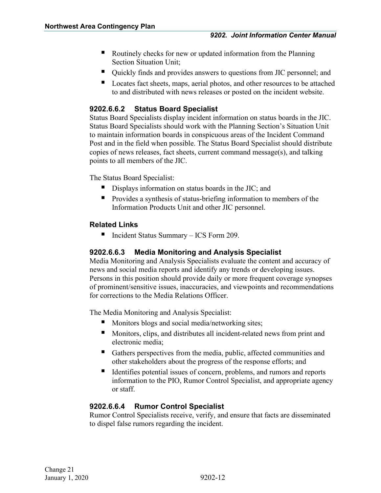- Routinely checks for new or updated information from the Planning Section Situation Unit;
- Quickly finds and provides answers to questions from JIC personnel; and
- Locates fact sheets, maps, aerial photos, and other resources to be attached to and distributed with news releases or posted on the incident website.

#### <span id="page-15-0"></span>**9202.6.6.2 Status Board Specialist**

Status Board Specialists display incident information on status boards in the JIC. Status Board Specialists should work with the Planning Section's Situation Unit to maintain information boards in conspicuous areas of the Incident Command Post and in the field when possible. The Status Board Specialist should distribute copies of news releases, fact sheets, current command message(s), and talking points to all members of the JIC.

The Status Board Specialist:

- Displays information on status boards in the JIC; and
- **Provides a synthesis of status-briefing information to members of the** Information Products Unit and other JIC personnel.

#### **Related Links**

■ Incident Status Summary – ICS Form 209.

#### <span id="page-15-1"></span>**9202.6.6.3 Media Monitoring and Analysis Specialist**

Media Monitoring and Analysis Specialists evaluate the content and accuracy of news and social media reports and identify any trends or developing issues. Persons in this position should provide daily or more frequent coverage synopses of prominent/sensitive issues, inaccuracies, and viewpoints and recommendations for corrections to the Media Relations Officer.

The Media Monitoring and Analysis Specialist:

- Monitors blogs and social media/networking sites;
- Monitors, clips, and distributes all incident-related news from print and electronic media;
- Gathers perspectives from the media, public, affected communities and other stakeholders about the progress of the response efforts; and
- If Identifies potential issues of concern, problems, and rumors and reports information to the PIO, Rumor Control Specialist, and appropriate agency or staff.

#### <span id="page-15-2"></span>**9202.6.6.4 Rumor Control Specialist**

Rumor Control Specialists receive, verify, and ensure that facts are disseminated to dispel false rumors regarding the incident.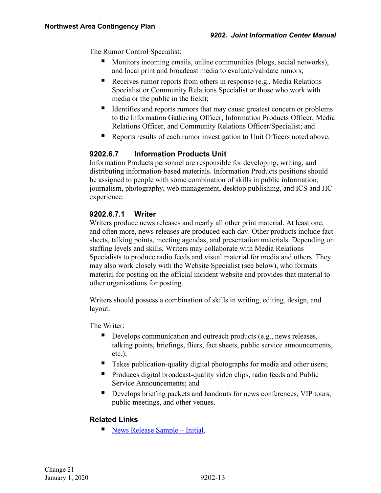The Rumor Control Specialist:

- Monitors incoming emails, online communities (blogs, social networks), and local print and broadcast media to evaluate/validate rumors;
- Receives rumor reports from others in response (e.g., Media Relations Specialist or Community Relations Specialist or those who work with media or the public in the field);
- Identifies and reports rumors that may cause greatest concern or problems to the Information Gathering Officer, Information Products Officer, Media Relations Officer, and Community Relations Officer/Specialist; and
- Reports results of each rumor investigation to Unit Officers noted above.

#### <span id="page-16-0"></span>**9202.6.7 Information Products Unit**

Information Products personnel are responsible for developing, writing, and distributing information-based materials. Information Products positions should be assigned to people with some combination of skills in public information, journalism, photography, web management, desktop publishing, and ICS and JIC experience.

#### <span id="page-16-1"></span>**9202.6.7.1 Writer**

Writers produce news releases and nearly all other print material. At least one, and often more, news releases are produced each day. Other products include fact sheets, talking points, meeting agendas, and presentation materials. Depending on staffing levels and skills, Writers may collaborate with Media Relations Specialists to produce radio feeds and visual material for media and others. They may also work closely with the Website Specialist (see below), who formats material for posting on the official incident website and provides that material to other organizations for posting.

Writers should possess a combination of skills in writing, editing, design, and layout.

The Writer:

- Develops communication and outreach products (e.g., news releases, talking points, briefings, fliers, fact sheets, public service announcements, etc.);
- Takes publication-quality digital photographs for media and other users;
- Produces digital broadcast-quality video clips, radio feeds and Public Service Announcements; and
- Develops briefing packets and handouts for news conferences, VIP tours, public meetings, and other venues.

#### **Related Links**

[News Release Sample –](#page-43-1) Initial.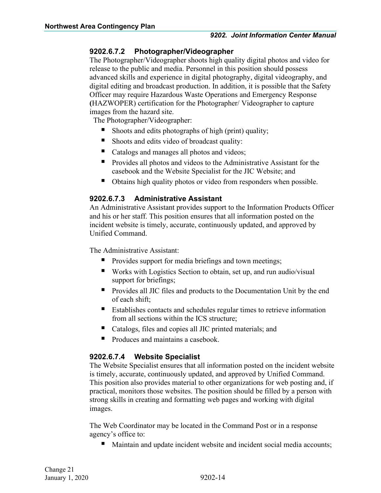#### <span id="page-17-0"></span>**9202.6.7.2 Photographer/Videographer**

The Photographer/Videographer shoots high quality digital photos and video for release to the public and media. Personnel in this position should possess advanced skills and experience in digital photography, digital videography, and digital editing and broadcast production. In addition, it is possible that the Safety Officer may require Hazardous Waste Operations and Emergency Response **(**HAZWOPER) certification for the Photographer/ Videographer to capture images from the hazard site.

The Photographer/Videographer:

- Shoots and edits photographs of high (print) quality;
- Shoots and edits video of broadcast quality:
- Catalogs and manages all photos and videos;
- Provides all photos and videos to the Administrative Assistant for the casebook and the Website Specialist for the JIC Website; and
- Obtains high quality photos or video from responders when possible.

#### <span id="page-17-1"></span>**9202.6.7.3 Administrative Assistant**

An Administrative Assistant provides support to the Information Products Officer and his or her staff. This position ensures that all information posted on the incident website is timely, accurate, continuously updated, and approved by Unified Command.

The Administrative Assistant:

- **Provides support for media briefings and town meetings;**
- Works with Logistics Section to obtain, set up, and run audio/visual support for briefings;
- **Provides all JIC files and products to the Documentation Unit by the end** of each shift;
- Establishes contacts and schedules regular times to retrieve information from all sections within the ICS structure;
- Catalogs, files and copies all JIC printed materials; and
- Produces and maintains a casebook.

#### <span id="page-17-2"></span>**9202.6.7.4 Website Specialist**

The Website Specialist ensures that all information posted on the incident website is timely, accurate, continuously updated, and approved by Unified Command. This position also provides material to other organizations for web posting and, if practical, monitors those websites. The position should be filled by a person with strong skills in creating and formatting web pages and working with digital images.

The Web Coordinator may be located in the Command Post or in a response agency's office to:

Maintain and update incident website and incident social media accounts;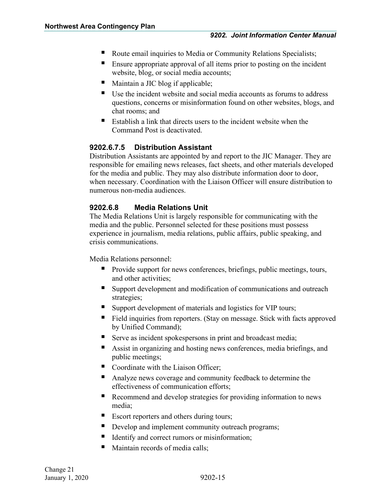- Route email inquiries to Media or Community Relations Specialists;
- Ensure appropriate approval of all items prior to posting on the incident website, blog, or social media accounts;
- Maintain a JIC blog if applicable;
- Use the incident website and social media accounts as forums to address questions, concerns or misinformation found on other websites, blogs, and chat rooms; and
- Establish a link that directs users to the incident website when the Command Post is deactivated.

#### <span id="page-18-0"></span>**9202.6.7.5 Distribution Assistant**

Distribution Assistants are appointed by and report to the JIC Manager. They are responsible for emailing news releases, fact sheets, and other materials developed for the media and public. They may also distribute information door to door, when necessary. Coordination with the Liaison Officer will ensure distribution to numerous non-media audiences.

#### <span id="page-18-1"></span>**9202.6.8 Media Relations Unit**

The Media Relations Unit is largely responsible for communicating with the media and the public. Personnel selected for these positions must possess experience in journalism, media relations, public affairs, public speaking, and crisis communications.

Media Relations personnel:

- **Provide support for news conferences, briefings, public meetings, tours,** and other activities;
- Support development and modification of communications and outreach strategies;
- Support development of materials and logistics for VIP tours;
- Field inquiries from reporters. (Stay on message. Stick with facts approved by Unified Command);
- Serve as incident spokespersons in print and broadcast media;
- Assist in organizing and hosting news conferences, media briefings, and public meetings;
- Coordinate with the Liaison Officer;
- Analyze news coverage and community feedback to determine the effectiveness of communication efforts;
- Recommend and develop strategies for providing information to news media;
- Escort reporters and others during tours;
- Develop and implement community outreach programs;
- Identify and correct rumors or misinformation;
- Maintain records of media calls;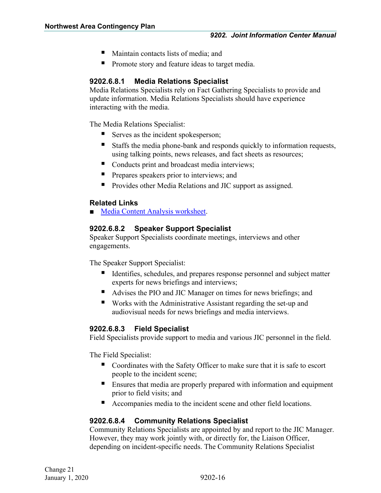- Maintain contacts lists of media; and
- **Promote story and feature ideas to target media.**

#### <span id="page-19-0"></span>**9202.6.8.1 Media Relations Specialist**

Media Relations Specialists rely on Fact Gathering Specialists to provide and update information. Media Relations Specialists should have experience interacting with the media.

The Media Relations Specialist:

- Serves as the incident spokesperson;
- Staffs the media phone-bank and responds quickly to information requests, using talking points, news releases, and fact sheets as resources;
- Conducts print and broadcast media interviews;
- **Prepares speakers prior to interviews; and**
- **Provides other Media Relations and JIC support as assigned.**

#### **Related Links**

■ [Media Content Analysis worksheet.](#page-72-0)

#### <span id="page-19-1"></span>**9202.6.8.2 Speaker Support Specialist**

Speaker Support Specialists coordinate meetings, interviews and other engagements.

The Speaker Support Specialist:

- Identifies, schedules, and prepares response personnel and subject matter experts for news briefings and interviews;
- Advises the PIO and JIC Manager on times for news briefings; and
- Works with the Administrative Assistant regarding the set-up and audiovisual needs for news briefings and media interviews.

#### <span id="page-19-2"></span>**9202.6.8.3 Field Specialist**

Field Specialists provide support to media and various JIC personnel in the field.

The Field Specialist:

- Coordinates with the Safety Officer to make sure that it is safe to escort people to the incident scene;
- **Ensures that media are properly prepared with information and equipment** prior to field visits; and
- Accompanies media to the incident scene and other field locations.

#### <span id="page-19-3"></span>**9202.6.8.4 Community Relations Specialist**

Community Relations Specialists are appointed by and report to the JIC Manager. However, they may work jointly with, or directly for, the Liaison Officer, depending on incident-specific needs. The Community Relations Specialist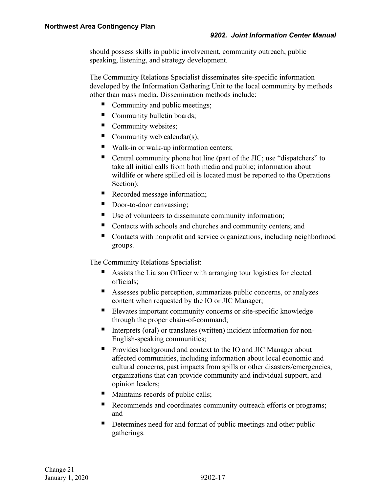should possess skills in public involvement, community outreach, public speaking, listening, and strategy development.

The Community Relations Specialist disseminates site-specific information developed by the Information Gathering Unit to the local community by methods other than mass media. Dissemination methods include:

- Community and public meetings;
- Community bulletin boards;
- Community websites;
- Community web calendar(s);
- Walk-in or walk-up information centers;
- Central community phone hot line (part of the JIC; use "dispatchers" to take all initial calls from both media and public; information about wildlife or where spilled oil is located must be reported to the Operations Section);
- Recorded message information;
- Door-to-door canvassing;
- Use of volunteers to disseminate community information;
- Contacts with schools and churches and community centers; and
- Contacts with nonprofit and service organizations, including neighborhood groups.

The Community Relations Specialist:

- Assists the Liaison Officer with arranging tour logistics for elected officials;
- Assesses public perception, summarizes public concerns, or analyzes content when requested by the IO or JIC Manager;
- Elevates important community concerns or site-specific knowledge through the proper chain-of-command;
- Interprets (oral) or translates (written) incident information for non-English-speaking communities;
- **Provides background and context to the IO and JIC Manager about** affected communities, including information about local economic and cultural concerns, past impacts from spills or other disasters/emergencies, organizations that can provide community and individual support, and opinion leaders;
- Maintains records of public calls;
- Recommends and coordinates community outreach efforts or programs; and
- Determines need for and format of public meetings and other public gatherings.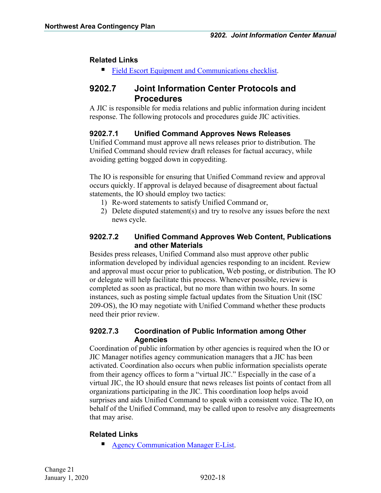#### **Related Links**

**[Field Escort Equipment and Communications checklist.](#page-68-0)** 

### <span id="page-21-0"></span>**9202.7 Joint Information Center Protocols and Procedures**

A JIC is responsible for media relations and public information during incident response. The following protocols and procedures guide JIC activities.

#### <span id="page-21-1"></span>**9202.7.1 Unified Command Approves News Releases**

Unified Command must approve all news releases prior to distribution. The Unified Command should review draft releases for factual accuracy, while avoiding getting bogged down in copyediting.

The IO is responsible for ensuring that Unified Command review and approval occurs quickly. If approval is delayed because of disagreement about factual statements, the IO should employ two tactics:

- 1) Re-word statements to satisfy Unified Command or,
- 2) Delete disputed statement(s) and try to resolve any issues before the next news cycle.

#### <span id="page-21-2"></span>**9202.7.2 Unified Command Approves Web Content, Publications and other Materials**

Besides press releases, Unified Command also must approve other public information developed by individual agencies responding to an incident. Review and approval must occur prior to publication, Web posting, or distribution. The IO or delegate will help facilitate this process. Whenever possible, review is completed as soon as practical, but no more than within two hours. In some instances, such as posting simple factual updates from the Situation Unit (ISC 209-OS), the IO may negotiate with Unified Command whether these products need their prior review.

#### <span id="page-21-3"></span>**9202.7.3 Coordination of Public Information among Other Agencies**

Coordination of public information by other agencies is required when the IO or JIC Manager notifies agency communication managers that a JIC has been activated. Coordination also occurs when public information specialists operate from their agency offices to form a "virtual JIC." Especially in the case of a virtual JIC, the IO should ensure that news releases list points of contact from all organizations participating in the JIC. This coordination loop helps avoid surprises and aids Unified Command to speak with a consistent voice. The IO, on behalf of the Unified Command, may be called upon to resolve any disagreements that may arise.

#### **Related Links**

**[Agency Communication Manager E-List.](#page-67-0)**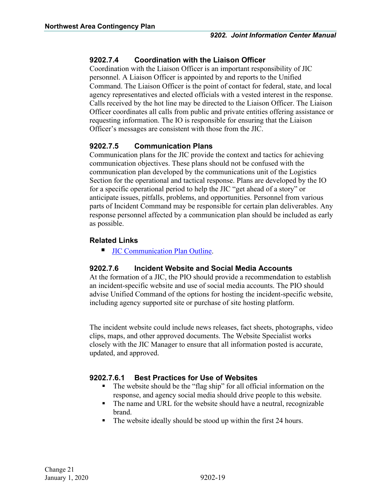#### <span id="page-22-0"></span>**9202.7.4 Coordination with the Liaison Officer**

Coordination with the Liaison Officer is an important responsibility of JIC personnel. A Liaison Officer is appointed by and reports to the Unified Command. The Liaison Officer is the point of contact for federal, state, and local agency representatives and elected officials with a vested interest in the response. Calls received by the hot line may be directed to the Liaison Officer. The Liaison Officer coordinates all calls from public and private entities offering assistance or requesting information. The IO is responsible for ensuring that the Liaison Officer's messages are consistent with those from the JIC.

#### <span id="page-22-1"></span>**9202.7.5 Communication Plans**

Communication plans for the JIC provide the context and tactics for achieving communication objectives. These plans should not be confused with the communication plan developed by the communications unit of the Logistics Section for the operational and tactical response. Plans are developed by the IO for a specific operational period to help the JIC "get ahead of a story" or anticipate issues, pitfalls, problems, and opportunities. Personnel from various parts of Incident Command may be responsible for certain plan deliverables. Any response personnel affected by a communication plan should be included as early as possible.

#### **Related Links**

**[JIC Communication Plan Outline.](#page-71-0)** 

#### <span id="page-22-2"></span>**9202.7.6 Incident Website and Social Media Accounts**

At the formation of a JIC, the PIO should provide a recommendation to establish an incident-specific website and use of social media accounts. The PIO should advise Unified Command of the options for hosting the incident-specific website, including agency supported site or purchase of site hosting platform.

The incident website could include news releases, fact sheets, photographs, video clips, maps, and other approved documents. The Website Specialist works closely with the JIC Manager to ensure that all information posted is accurate, updated, and approved.

#### <span id="page-22-3"></span>**9202.7.6.1 Best Practices for Use of Websites**

- The website should be the "flag ship" for all official information on the response, and agency social media should drive people to this website.
- The name and URL for the website should have a neutral, recognizable brand.
- The website ideally should be stood up within the first 24 hours.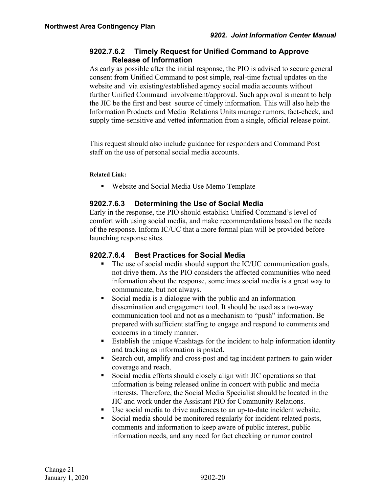#### <span id="page-23-0"></span>**9202.7.6.2 Timely Request for Unified Command to Approve Release of Information**

As early as possible after the initial response, the PIO is advised to secure general consent from Unified Command to post simple, real-time factual updates on the website and via existing/established agency social media accounts without further Unified Command involvement/approval. Such approval is meant to help the JIC be the first and best source of timely information. This will also help the Information Products and Media Relations Units manage rumors, fact-check, and supply time-sensitive and vetted information from a single, official release point.

This request should also include guidance for responders and Command Post staff on the use of personal social media accounts.

**Related Link:** 

Website and Social Media Use Memo Template

#### <span id="page-23-1"></span>**9202.7.6.3 Determining the Use of Social Media**

Early in the response, the PIO should establish Unified Command's level of comfort with using social media, and make recommendations based on the needs of the response. Inform IC/UC that a more formal plan will be provided before launching response sites.

#### <span id="page-23-2"></span>**9202.7.6.4 Best Practices for Social Media**

- The use of social media should support the IC/UC communication goals, not drive them. As the PIO considers the affected communities who need information about the response, sometimes social media is a great way to communicate, but not always.
- Social media is a dialogue with the public and an information dissemination and engagement tool. It should be used as a two-way communication tool and not as a mechanism to "push" information. Be prepared with sufficient staffing to engage and respond to comments and concerns in a timely manner.
- Establish the unique #hashtags for the incident to help information identity and tracking as information is posted.
- Search out, amplify and cross-post and tag incident partners to gain wider coverage and reach.
- Social media efforts should closely align with JIC operations so that information is being released online in concert with public and media interests. Therefore, the Social Media Specialist should be located in the JIC and work under the Assistant PIO for Community Relations.
- Use social media to drive audiences to an up-to-date incident website.
- Social media should be monitored regularly for incident-related posts, comments and information to keep aware of public interest, public information needs, and any need for fact checking or rumor control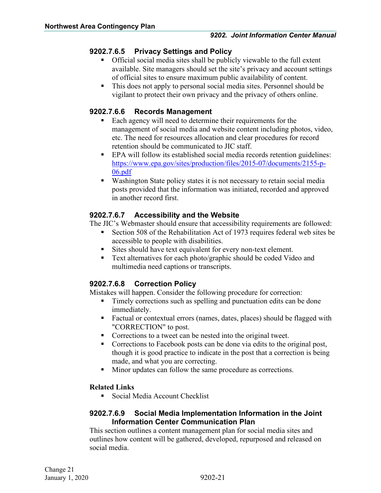#### <span id="page-24-0"></span>**9202.7.6.5 Privacy Settings and Policy**

- Official social media sites shall be publicly viewable to the full extent available. Site managers should set the site's privacy and account settings of official sites to ensure maximum public availability of content.
- This does not apply to personal social media sites. Personnel should be vigilant to protect their own privacy and the privacy of others online.

#### <span id="page-24-1"></span>**9202.7.6.6 Records Management**

- Each agency will need to determine their requirements for the management of social media and website content including photos, video, etc. The need for resources allocation and clear procedures for record retention should be communicated to JIC staff.
- EPA will follow its established social media records retention guidelines: [https://www.epa.gov/sites/production/files/2015-07/documents/2155-p-](https://www.epa.gov/sites/production/files/2015-07/documents/2155-p-06.pdf)[06.pdf](https://www.epa.gov/sites/production/files/2015-07/documents/2155-p-06.pdf)
- Washington State policy states it is not necessary to retain social media posts provided that the information was initiated, recorded and approved in another record first.

#### <span id="page-24-2"></span>**9202.7.6.7 Accessibility and the Website**

The JIC's Webmaster should ensure that accessibility requirements are followed:

- Section 508 of the Rehabilitation Act of 1973 requires federal web sites be accessible to people with disabilities.
- Sites should have text equivalent for every non-text element.
- Text alternatives for each photo/graphic should be coded Video and multimedia need captions or transcripts.

### <span id="page-24-3"></span>**9202.7.6.8 Correction Policy**

Mistakes will happen. Consider the following procedure for correction:

- Timely corrections such as spelling and punctuation edits can be done immediately.
- Factual or contextual errors (names, dates, places) should be flagged with "CORRECTION" to post.
- **Corrections to a tweet can be nested into the original tweet.**
- Corrections to Facebook posts can be done via edits to the original post, though it is good practice to indicate in the post that a correction is being made, and what you are correcting.
- Minor updates can follow the same procedure as corrections.

#### **Related Links**

Social Media Account Checklist

#### <span id="page-24-4"></span>**9202.7.6.9 Social Media Implementation Information in the Joint Information Center Communication Plan**

This section outlines a content management plan for social media sites and outlines how content will be gathered, developed, repurposed and released on social media.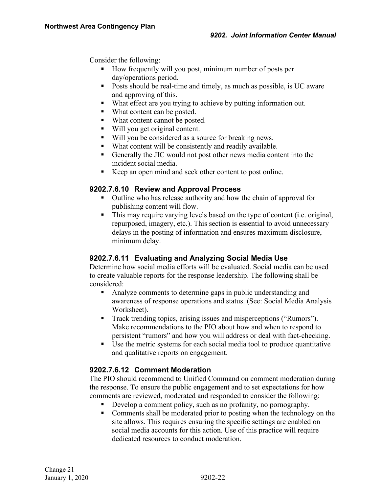Consider the following:

- How frequently will you post, minimum number of posts per day/operations period.
- Posts should be real-time and timely, as much as possible, is UC aware and approving of this.
- What effect are you trying to achieve by putting information out.
- What content can be posted.
- What content cannot be posted.
- Will you get original content.
- Will you be considered as a source for breaking news.
- What content will be consistently and readily available.
- Generally the JIC would not post other news media content into the incident social media.
- Keep an open mind and seek other content to post online.

#### <span id="page-25-0"></span>**9202.7.6.10 Review and Approval Process**

- Outline who has release authority and how the chain of approval for publishing content will flow.
- This may require varying levels based on the type of content (i.e. original, repurposed, imagery, etc.). This section is essential to avoid unnecessary delays in the posting of information and ensures maximum disclosure, minimum delay.

#### <span id="page-25-1"></span>**9202.7.6.11 Evaluating and Analyzing Social Media Use**

Determine how social media efforts will be evaluated. Social media can be used to create valuable reports for the response leadership. The following shall be considered:

- Analyze comments to determine gaps in public understanding and awareness of response operations and status. (See: Social Media Analysis Worksheet).
- Track trending topics, arising issues and misperceptions ("Rumors"). Make recommendations to the PIO about how and when to respond to persistent "rumors" and how you will address or deal with fact-checking.
- Use the metric systems for each social media tool to produce quantitative and qualitative reports on engagement.

#### <span id="page-25-2"></span>**9202.7.6.12 Comment Moderation**

The PIO should recommend to Unified Command on comment moderation during the response. To ensure the public engagement and to set expectations for how comments are reviewed, moderated and responded to consider the following:

- Develop a comment policy, such as no profanity, no pornography.
- Comments shall be moderated prior to posting when the technology on the site allows. This requires ensuring the specific settings are enabled on social media accounts for this action. Use of this practice will require dedicated resources to conduct moderation.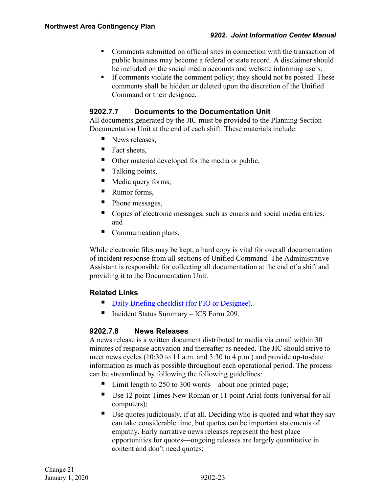- Comments submitted on official sites in connection with the transaction of public business may become a federal or state record. A disclaimer should be included on the social media accounts and website informing users.
- If comments violate the comment policy; they should not be posted. These comments shall be hidden or deleted upon the discretion of the Unified Command or their designee.

#### <span id="page-26-0"></span>**9202.7.7 Documents to the Documentation Unit**

All documents generated by the JIC must be provided to the Planning Section Documentation Unit at the end of each shift. These materials include:

- News releases,
- Fact sheets,
- Other material developed for the media or public,
- Talking points,
- Media query forms,
- Rumor forms,
- Phone messages,
- Copies of electronic messages, such as emails and social media entries, and
- **Communication plans.**

While electronic files may be kept, a hard copy is vital for overall documentation of incident response from all sections of Unified Command. The Administrative Assistant is responsible for collecting all documentation at the end of a shift and providing it to the Documentation Unit.

#### **Related Links**

- [Daily Briefing checklist \(for PIO or Designee\).](#page-38-0)
- Incident Status Summary ICS Form 209.

#### <span id="page-26-1"></span>**9202.7.8 News Releases**

A news release is a written document distributed to media via email within 30 minutes of response activation and thereafter as needed. The JIC should strive to meet news cycles (10:30 to 11 a.m. and 3:30 to 4 p.m.) and provide up-to-date information as much as possible throughout each operational period. The process can be streamlined by following the following guidelines:

- Limit length to 250 to 300 words—about one printed page;
- Use 12 point Times New Roman or 11 point Arial fonts (universal for all computers);
- Use quotes judiciously, if at all. Deciding who is quoted and what they say can take considerable time, but quotes can be important statements of empathy. Early narrative news releases represent the best place opportunities for quotes—ongoing releases are largely quantitative in content and don't need quotes;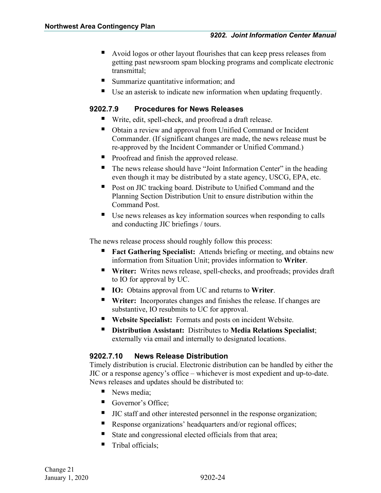- Avoid logos or other layout flourishes that can keep press releases from getting past newsroom spam blocking programs and complicate electronic transmittal;
- Summarize quantitative information; and
- Use an asterisk to indicate new information when updating frequently.

#### <span id="page-27-0"></span>**9202.7.9 Procedures for News Releases**

- Write, edit, spell-check, and proofread a draft release.
- Obtain a review and approval from Unified Command or Incident Commander. (If significant changes are made, the news release must be re-approved by the Incident Commander or Unified Command.)
- **Proofread and finish the approved release.**
- The news release should have "Joint Information Center" in the heading even though it may be distributed by a state agency, USCG, EPA, etc.
- **Post on JIC tracking board. Distribute to Unified Command and the** Planning Section Distribution Unit to ensure distribution within the Command Post.
- Use news releases as key information sources when responding to calls and conducting JIC briefings / tours.

The news release process should roughly follow this process:

- **Fact Gathering Specialist:** Attends briefing or meeting, and obtains new information from Situation Unit; provides information to **Writer**.
- **Writer:** Writes news release, spell-checks, and proofreads; provides draft to IO for approval by UC.
- **IO:** Obtains approval from UC and returns to **Writer**.
- **Writer:** Incorporates changes and finishes the release. If changes are substantive, IO resubmits to UC for approval.
- **Website Specialist:** Formats and posts on incident Website.
- **Distribution Assistant:** Distributes to **Media Relations Specialist**; externally via email and internally to designated locations.

#### <span id="page-27-1"></span>**9202.7.10 News Release Distribution**

Timely distribution is crucial. Electronic distribution can be handled by either the JIC or a response agency's office – whichever is most expedient and up-to-date. News releases and updates should be distributed to:

- News media;
- Governor's Office;
- I JIC staff and other interested personnel in the response organization;
- Response organizations' headquarters and/or regional offices;
- State and congressional elected officials from that area;
- $\blacksquare$  Tribal officials: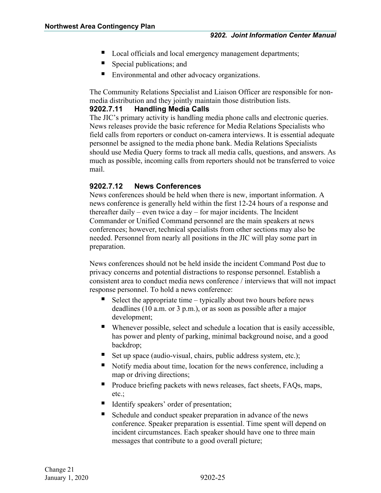- Local officials and local emergency management departments;
- Special publications; and
- **Environmental and other advocacy organizations.**

The Community Relations Specialist and Liaison Officer are responsible for nonmedia distribution and they jointly maintain those distribution lists.

#### <span id="page-28-0"></span>**9202.7.11 Handling Media Calls**

The JIC's primary activity is handling media phone calls and electronic queries. News releases provide the basic reference for Media Relations Specialists who field calls from reporters or conduct on-camera interviews. It is essential adequate personnel be assigned to the media phone bank. Media Relations Specialists should use Media Query forms to track all media calls, questions, and answers. As much as possible, incoming calls from reporters should not be transferred to voice mail.

#### <span id="page-28-1"></span>**9202.7.12 News Conferences**

News conferences should be held when there is new, important information. A news conference is generally held within the first 12-24 hours of a response and thereafter daily – even twice a day – for major incidents. The Incident Commander or Unified Command personnel are the main speakers at news conferences; however, technical specialists from other sections may also be needed. Personnel from nearly all positions in the JIC will play some part in preparation.

News conferences should not be held inside the incident Command Post due to privacy concerns and potential distractions to response personnel. Establish a consistent area to conduct media news conference / interviews that will not impact response personnel. To hold a news conference:

- Select the appropriate time typically about two hours before news deadlines (10 a.m. or 3 p.m.), or as soon as possible after a major development;
- Whenever possible, select and schedule a location that is easily accessible, has power and plenty of parking, minimal background noise, and a good backdrop;
- Set up space (audio-visual, chairs, public address system, etc.);
- Notify media about time, location for the news conference, including a map or driving directions;
- Produce briefing packets with news releases, fact sheets, FAQs, maps, etc.;
- Identify speakers' order of presentation;
- Schedule and conduct speaker preparation in advance of the news conference. Speaker preparation is essential. Time spent will depend on incident circumstances. Each speaker should have one to three main messages that contribute to a good overall picture;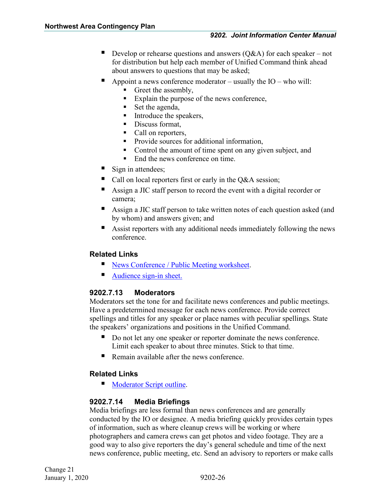- Develop or rehearse questions and answers  $(Q&A)$  for each speaker not for distribution but help each member of Unified Command think ahead about answers to questions that may be asked;
- Appoint a news conference moderator usually the IO who will:
	- Greet the assembly,
	- Explain the purpose of the news conference,
	- Set the agenda,
	- $\blacksquare$  Introduce the speakers,
	- Discuss format,
	- Call on reporters,
	- **Provide sources for additional information,**
	- Control the amount of time spent on any given subject, and
	- End the news conference on time.
- Sign in attendees;
- Call on local reporters first or early in the Q&A session;
- Assign a JIC staff person to record the event with a digital recorder or camera;
- Assign a JIC staff person to take written notes of each question asked (and by whom) and answers given; and
- Assist reporters with any additional needs immediately following the news conference.

#### **Related Links**

- News Conference / [Public Meeting worksheet.](#page-41-0)
- [Audience sign-in sheet.](#page-42-0)

#### <span id="page-29-0"></span>**9202.7.13 Moderators**

Moderators set the tone for and facilitate news conferences and public meetings. Have a predetermined message for each news conference. Provide correct spellings and titles for any speaker or place names with peculiar spellings. State the speakers' organizations and positions in the Unified Command.

- Do not let any one speaker or reporter dominate the news conference. Limit each speaker to about three minutes. Stick to that time.
- Remain available after the news conference.

#### **Related Links**

[Moderator Script outline.](#page-66-0)

#### <span id="page-29-1"></span>**9202.7.14 Media Briefings**

Media briefings are less formal than news conferences and are generally conducted by the IO or designee. A media briefing quickly provides certain types of information, such as where cleanup crews will be working or where photographers and camera crews can get photos and video footage. They are a good way to also give reporters the day's general schedule and time of the next news conference, public meeting, etc. Send an advisory to reporters or make calls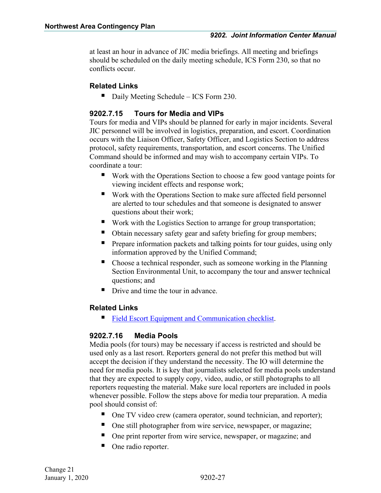at least an hour in advance of JIC media briefings. All meeting and briefings should be scheduled on the daily meeting schedule, ICS Form 230, so that no conflicts occur.

#### **Related Links**

Daily Meeting Schedule – ICS Form 230.

#### <span id="page-30-0"></span>**9202.7.15 Tours for Media and VIPs**

Tours for media and VIPs should be planned for early in major incidents. Several JIC personnel will be involved in logistics, preparation, and escort. Coordination occurs with the Liaison Officer, Safety Officer, and Logistics Section to address protocol, safety requirements, transportation, and escort concerns. The Unified Command should be informed and may wish to accompany certain VIPs. To coordinate a tour:

- Work with the Operations Section to choose a few good vantage points for viewing incident effects and response work;
- Work with the Operations Section to make sure affected field personnel are alerted to tour schedules and that someone is designated to answer questions about their work;
- Work with the Logistics Section to arrange for group transportation;
- Obtain necessary safety gear and safety briefing for group members;
- **Prepare information packets and talking points for tour guides, using only** information approved by the Unified Command;
- Choose a technical responder, such as someone working in the Planning Section Environmental Unit, to accompany the tour and answer technical questions; and
- Drive and time the tour in advance.

#### **Related Links**

[Field Escort Equipment and Communication checklist.](#page-68-0)

#### <span id="page-30-1"></span>**9202.7.16 Media Pools**

Media pools (for tours) may be necessary if access is restricted and should be used only as a last resort. Reporters general do not prefer this method but will accept the decision if they understand the necessity. The IO will determine the need for media pools. It is key that journalists selected for media pools understand that they are expected to supply copy, video, audio, or still photographs to all reporters requesting the material. Make sure local reporters are included in pools whenever possible. Follow the steps above for media tour preparation. A media pool should consist of:

- One TV video crew (camera operator, sound technician, and reporter);
- One still photographer from wire service, newspaper, or magazine;
- One print reporter from wire service, newspaper, or magazine; and
- One radio reporter.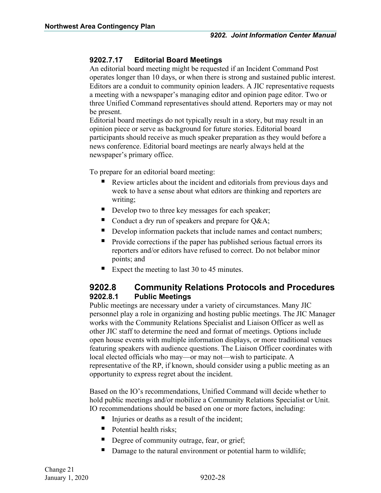#### <span id="page-31-0"></span>**9202.7.17 Editorial Board Meetings**

An editorial board meeting might be requested if an Incident Command Post operates longer than 10 days, or when there is strong and sustained public interest. Editors are a conduit to community opinion leaders. A JIC representative requests a meeting with a newspaper's managing editor and opinion page editor. Two or three Unified Command representatives should attend. Reporters may or may not be present.

Editorial board meetings do not typically result in a story, but may result in an opinion piece or serve as background for future stories. Editorial board participants should receive as much speaker preparation as they would before a news conference. Editorial board meetings are nearly always held at the newspaper's primary office.

To prepare for an editorial board meeting:

- Review articles about the incident and editorials from previous days and week to have a sense about what editors are thinking and reporters are writing;
- Develop two to three key messages for each speaker;
- Conduct a dry run of speakers and prepare for Q&A;
- Develop information packets that include names and contact numbers;
- Provide corrections if the paper has published serious factual errors its reporters and/or editors have refused to correct. Do not belabor minor points; and
- Expect the meeting to last 30 to 45 minutes.

### <span id="page-31-1"></span>**9202.8 Community Relations Protocols and Procedures 9202.8.1 Public Meetings**

<span id="page-31-2"></span>Public meetings are necessary under a variety of circumstances. Many JIC personnel play a role in organizing and hosting public meetings. The JIC Manager works with the Community Relations Specialist and Liaison Officer as well as other JIC staff to determine the need and format of meetings. Options include open house events with multiple information displays, or more traditional venues featuring speakers with audience questions. The Liaison Officer coordinates with local elected officials who may—or may not—wish to participate. A representative of the RP, if known, should consider using a public meeting as an opportunity to express regret about the incident.

Based on the IO's recommendations, Unified Command will decide whether to hold public meetings and/or mobilize a Community Relations Specialist or Unit. IO recommendations should be based on one or more factors, including:

- $\blacksquare$  Injuries or deaths as a result of the incident;
- Potential health risks;
- Degree of community outrage, fear, or grief;
- Damage to the natural environment or potential harm to wildlife;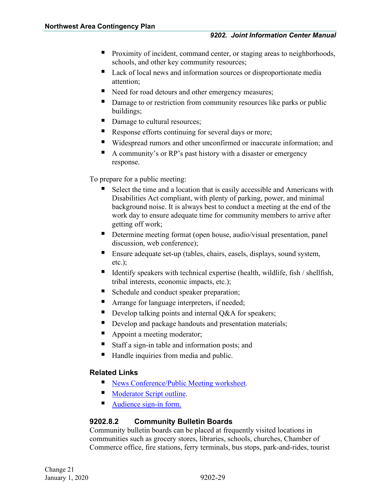- **Proximity of incident, command center, or staging areas to neighborhoods,** schools, and other key community resources;
- Lack of local news and information sources or disproportionate media attention;
- Need for road detours and other emergency measures;
- Damage to or restriction from community resources like parks or public buildings;
- Damage to cultural resources;
- Response efforts continuing for several days or more;
- Widespread rumors and other unconfirmed or inaccurate information; and
- A community's or RP's past history with a disaster or emergency response.

To prepare for a public meeting:

- Select the time and a location that is easily accessible and Americans with Disabilities Act compliant, with plenty of parking, power, and minimal background noise. It is always best to conduct a meeting at the end of the work day to ensure adequate time for community members to arrive after getting off work;
- Determine meeting format (open house, audio/visual presentation, panel discussion, web conference);
- Ensure adequate set-up (tables, chairs, easels, displays, sound system, etc.);
- Identify speakers with technical expertise (health, wildlife, fish  $/$  shellfish, tribal interests, economic impacts, etc.);
- Schedule and conduct speaker preparation;
- **EXTERCH** Arrange for language interpreters, if needed;
- Develop talking points and internal  $O&A$  for speakers;
- Develop and package handouts and presentation materials;
- Appoint a meeting moderator;
- Staff a sign-in table and information posts; and
- Handle inquiries from media and public.

#### **Related Links**

- [News Conference/Public Meeting worksheet.](#page-41-0)
- [Moderator Script outline.](#page-66-0)
- [Audience sign-in form.](#page-42-0)

#### <span id="page-32-0"></span>**9202.8.2 Community Bulletin Boards**

Community bulletin boards can be placed at frequently visited locations in communities such as grocery stores, libraries, schools, churches, Chamber of Commerce office, fire stations, ferry terminals, bus stops, park-and-rides, tourist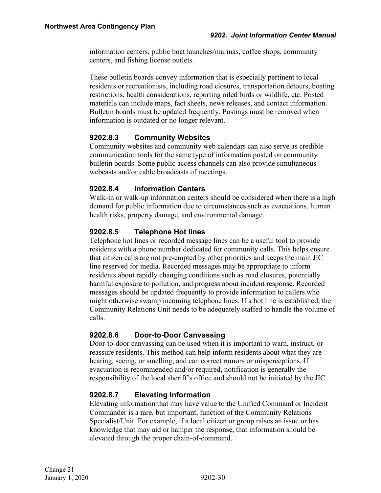information centers, public boat launches/marinas, coffee shops, community centers, and fishing license outlets.

These bulletin boards convey information that is especially pertinent to local residents or recreationists, including road closures, transportation detours, boating restrictions, health considerations, reporting oiled birds or wildlife, etc. Posted materials can include maps, fact sheets, news releases, and contact information. Bulletin boards must be updated frequently. Postings must be removed when information is outdated or no longer relevant.

#### <span id="page-33-0"></span>**9202.8.3 Community Websites**

Community websites and community web calendars can also serve as credible communication tools for the same type of information posted on community bulletin boards. Some public access channels can also provide simultaneous webcasts and/or cable broadcasts of meetings.

#### <span id="page-33-1"></span>**9202.8.4 Information Centers**

Walk-in or walk-up information centers should be considered when there is a high demand for public information due to circumstances such as evacuations, human health risks, property damage, and environmental damage.

#### <span id="page-33-2"></span>**9202.8.5 Telephone Hot lines**

Telephone hot lines or recorded message lines can be a useful tool to provide residents with a phone number dedicated for community calls. This helps ensure that citizen calls are not pre-empted by other priorities and keeps the main JIC line reserved for media. Recorded messages may be appropriate to inform residents about rapidly changing conditions such as road closures, potentially harmful exposure to pollution, and progress about incident response. Recorded messages should be updated frequently to provide information to callers who might otherwise swamp incoming telephone lines. If a hot line is established, the Community Relations Unit needs to be adequately staffed to handle the volume of calls.

#### <span id="page-33-3"></span>**9202.8.6 Door-to-Door Canvassing**

Door-to-door canvassing can be used when it is important to warn, instruct, or reassure residents. This method can help inform residents about what they are hearing, seeing, or smelling, and can correct rumors or misperceptions. If evacuation is recommended and/or required, notification is generally the responsibility of the local sheriff's office and should not be initiated by the JIC.

#### <span id="page-33-4"></span>**9202.8.7 Elevating Information**

Elevating information that may have value to the Unified Command or Incident Commander is a rare, but important, function of the Community Relations Specialist/Unit. For example, if a local citizen or group raises an issue or has knowledge that may aid or hamper the response, that information should be elevated through the proper chain-of-command.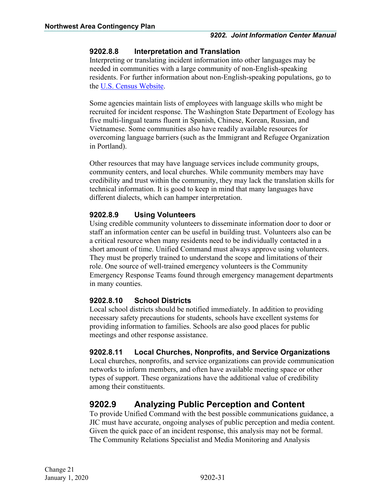#### <span id="page-34-0"></span>**9202.8.8 Interpretation and Translation**

Interpreting or translating incident information into other languages may be needed in communities with a large community of non-English-speaking residents. For further information about non-English-speaking populations, go to the [U.S. Census Website.](http://www.census.gov/)

Some agencies maintain lists of employees with language skills who might be recruited for incident response. The Washington State Department of Ecology has five multi-lingual teams fluent in Spanish, Chinese, Korean, Russian, and Vietnamese. Some communities also have readily available resources for overcoming language barriers (such as the Immigrant and Refugee Organization in Portland).

Other resources that may have language services include community groups, community centers, and local churches. While community members may have credibility and trust within the community, they may lack the translation skills for technical information. It is good to keep in mind that many languages have different dialects, which can hamper interpretation.

#### <span id="page-34-1"></span>**9202.8.9 Using Volunteers**

Using credible community volunteers to disseminate information door to door or staff an information center can be useful in building trust. Volunteers also can be a critical resource when many residents need to be individually contacted in a short amount of time. Unified Command must always approve using volunteers. They must be properly trained to understand the scope and limitations of their role. One source of well-trained emergency volunteers is the Community Emergency Response Teams found through emergency management departments in many counties.

#### <span id="page-34-2"></span>**9202.8.10 School Districts**

Local school districts should be notified immediately. In addition to providing necessary safety precautions for students, schools have excellent systems for providing information to families. Schools are also good places for public meetings and other response assistance.

#### <span id="page-34-3"></span>**9202.8.11 Local Churches, Nonprofits, and Service Organizations**

Local churches, nonprofits, and service organizations can provide communication networks to inform members, and often have available meeting space or other types of support. These organizations have the additional value of credibility among their constituents.

## <span id="page-34-4"></span>**9202.9 Analyzing Public Perception and Content**

To provide Unified Command with the best possible communications guidance, a JIC must have accurate, ongoing analyses of public perception and media content. Given the quick pace of an incident response, this analysis may not be formal. The Community Relations Specialist and Media Monitoring and Analysis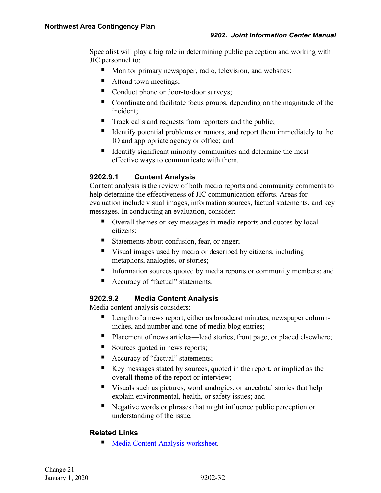Specialist will play a big role in determining public perception and working with JIC personnel to:

- Monitor primary newspaper, radio, television, and websites;
- Attend town meetings;
- Conduct phone or door-to-door surveys;
- Coordinate and facilitate focus groups, depending on the magnitude of the incident;
- Track calls and requests from reporters and the public;
- Identify potential problems or rumors, and report them immediately to the IO and appropriate agency or office; and
- Identify significant minority communities and determine the most effective ways to communicate with them.

#### <span id="page-35-0"></span>**9202.9.1 Content Analysis**

Content analysis is the review of both media reports and community comments to help determine the effectiveness of JIC communication efforts. Areas for evaluation include visual images, information sources, factual statements, and key messages. In conducting an evaluation, consider:

- Overall themes or key messages in media reports and quotes by local citizens;
- Statements about confusion, fear, or anger;
- Visual images used by media or described by citizens, including metaphors, analogies, or stories;
- Information sources quoted by media reports or community members; and
- Accuracy of "factual" statements.

#### <span id="page-35-1"></span>**9202.9.2 Media Content Analysis**

Media content analysis considers:

- **Length of a news report, either as broadcast minutes, newspaper column**inches, and number and tone of media blog entries;
- Placement of news articles—lead stories, front page, or placed elsewhere;
- Sources quoted in news reports;
- Accuracy of "factual" statements;
- Key messages stated by sources, quoted in the report, or implied as the overall theme of the report or interview;
- Visuals such as pictures, word analogies, or anecdotal stories that help explain environmental, health, or safety issues; and
- Negative words or phrases that might influence public perception or understanding of the issue.

#### **Related Links**

[Media Content Analysis](#page-72-0) worksheet.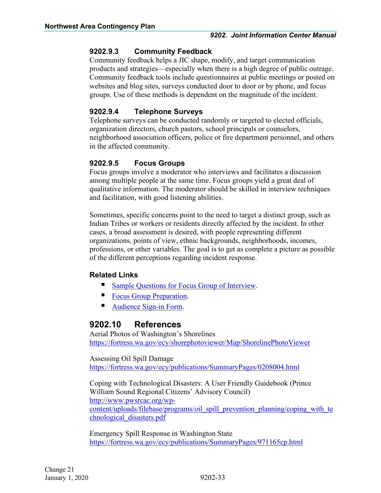#### **9202.9.3 Community Feedback**

Community feedback helps a JIC shape, modify, and target communication products and strategies—especially when there is a high degree of public outrage. Community feedback tools include questionnaires at public meetings or posted on websites and blog sites, surveys conducted door to door or by phone, and focus groups. Use of these methods is dependent on the magnitude of the incident.

### **9202.9.4 Telephone Surveys**

Telephone surveys can be conducted randomly or targeted to elected officials, organization directors, church pastors, school principals or counselors, neighborhood association officers, police or fire department personnel, and others in the affected community.

### **9202.9.5 Focus Groups**

Focus groups involve a moderator who interviews and facilitates a discussion among multiple people at the same time. Focus groups yield a great deal of qualitative information. The moderator should be skilled in interview techniques and facilitation, with good listening abilities.

Sometimes, specific concerns point to the need to target a distinct group, such as Indian Tribes or workers or residents directly affected by the incident. In other cases, a broad assessment is desired, with people representing different organizations, points of view, ethnic backgrounds, neighborhoods, incomes, professions, or other variables. The goal is to get as complete a picture as possible of the different perceptions regarding incident response.

## **Related Links**

- [Sample Questions for Focus Group of Interview.](#page-69-0)
- **[Focus Group Preparation.](#page-70-0)**
- [Audience Sign-in Form.](#page-42-0)

## **9202.10 References**

Aerial Photos of Washington's Shorelines <https://fortress.wa.gov/ecy/shorephotoviewer/Map/ShorelinePhotoViewer>

#### Assessing Oil Spill Damage

<https://fortress.wa.gov/ecy/publications/SummaryPages/0208004.html>

Coping with Technological Disasters: A User Friendly Guidebook (Prince William Sound Regional Citizens' Advisory Council) [http://www.pwsrcac.org/wp](http://www.pwsrcac.org/wp-content/uploads/filebase/programs/oil_spill_prevention_planning/coping_with_technological_disasters.pdf)[content/uploads/filebase/programs/oil\\_spill\\_prevention\\_planning/coping\\_with\\_te](http://www.pwsrcac.org/wp-content/uploads/filebase/programs/oil_spill_prevention_planning/coping_with_technological_disasters.pdf) chnological disasters.pdf

Emergency Spill Response in Washington State <https://fortress.wa.gov/ecy/publications/SummaryPages/971165cp.html>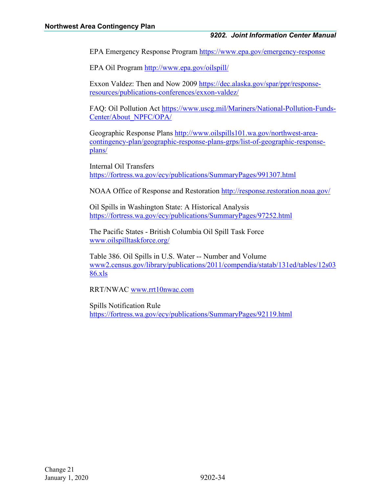EPA Emergency Response Program<https://www.epa.gov/emergency-response>

EPA Oil Program<http://www.epa.gov/oilspill/>

Exxon Valdez: Then and Now 2009 [https://dec.alaska.gov/spar/ppr/response](https://dec.alaska.gov/spar/ppr/response-resources/publications-conferences/exxon-valdez/)[resources/publications-conferences/exxon-valdez/](https://dec.alaska.gov/spar/ppr/response-resources/publications-conferences/exxon-valdez/)

FAQ: Oil Pollution Act [https://www.uscg.mil/Mariners/National-Pollution-Funds-](https://www.uscg.mil/Mariners/National-Pollution-Funds-Center/About_NPFC/OPA/)[Center/About\\_NPFC/OPA/](https://www.uscg.mil/Mariners/National-Pollution-Funds-Center/About_NPFC/OPA/)

Geographic Response Plans [http://www.oilspills101.wa.gov/northwest-area](http://www.oilspills101.wa.gov/northwest-area-contingency-plan/geographic-response-plans-grps/list-of-geographic-response-plans/)[contingency-plan/geographic-response-plans-grps/list-of-geographic-response](http://www.oilspills101.wa.gov/northwest-area-contingency-plan/geographic-response-plans-grps/list-of-geographic-response-plans/)[plans/](http://www.oilspills101.wa.gov/northwest-area-contingency-plan/geographic-response-plans-grps/list-of-geographic-response-plans/) 

Internal Oil Transfers <https://fortress.wa.gov/ecy/publications/SummaryPages/991307.html>

NOAA Office of Response and Restoration<http://response.restoration.noaa.gov/>

Oil Spills in Washington State: A Historical Analysis <https://fortress.wa.gov/ecy/publications/SummaryPages/97252.html>

The Pacific States - British Columbia Oil Spill Task Force [www.oilspilltaskforce.org/](http://www.oilspilltaskforce.org/)

Table 386. Oil Spills in U.S. Water -- Number and Volume [www2.census.gov/library/publications/2011/compendia/statab/131ed/tables/12s03](https://www2.census.gov/library/publications/2011/compendia/statab/131ed/tables/12s0386.pdf) [86.xls](https://www2.census.gov/library/publications/2011/compendia/statab/131ed/tables/12s0386.pdf)

RRT/NWAC [www.rrt10nwac.com](http://www.rrt10nwac.com/)

Spills Notification Rule <https://fortress.wa.gov/ecy/publications/SummaryPages/92119.html>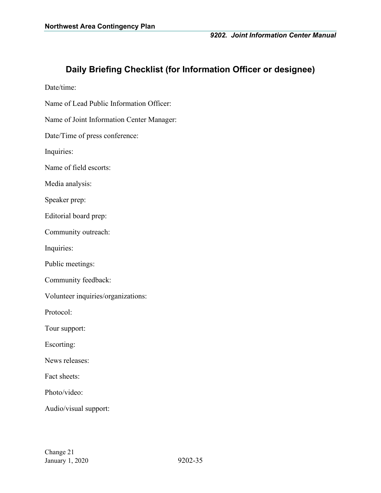## **Daily Briefing Checklist (for Information Officer or designee)**

Date/time:

Name of Lead Public Information Officer:

Name of Joint Information Center Manager:

Date/Time of press conference:

Inquiries:

Name of field escorts:

Media analysis:

Speaker prep:

Editorial board prep:

Community outreach:

Inquiries:

Public meetings:

Community feedback:

Volunteer inquiries/organizations:

Protocol:

Tour support:

Escorting:

News releases:

Fact sheets:

Photo/video:

Audio/visual support: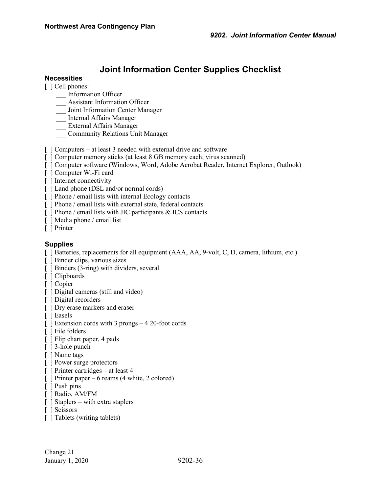# **Joint Information Center Supplies Checklist**

#### **Necessities**

[  $\vert$  Cell phones:

- \_\_\_ Information Officer
- \_\_\_ Assistant Information Officer
- \_\_\_ Joint Information Center Manager
- \_\_\_ Internal Affairs Manager
- \_\_\_ External Affairs Manager
- \_\_\_ Community Relations Unit Manager
- [ ] Computers at least 3 needed with external drive and software
- [ ] Computer memory sticks (at least 8 GB memory each; virus scanned)
- [ ] Computer software (Windows, Word, Adobe Acrobat Reader, Internet Explorer, Outlook)
- [ ] Computer Wi-Fi card
- [ ] Internet connectivity
- [ ] Land phone (DSL and/or normal cords)
- [ ] Phone / email lists with internal Ecology contacts
- [ ] Phone / email lists with external state, federal contacts
- $\lceil$  ] Phone / email lists with JIC participants & ICS contacts
- [ ] Media phone / email list
- [ ] Printer

#### **Supplies**

- [ ] Batteries, replacements for all equipment (AAA, AA, 9-volt, C, D, camera, lithium, etc.)
- [ ] Binder clips, various sizes
- [ ] Binders (3-ring) with dividers, several
- [ ] Clipboards
- [ ] Copier
- [ ] Digital cameras (still and video)
- [ ] Digital recorders
- [ ] Dry erase markers and eraser
- [ ] Easels
- [ ] Extension cords with 3 prongs 4 20-foot cords
- [ ] File folders
- [ ] Flip chart paper, 4 pads
- [ ] 3-hole punch
- [ ] Name tags
- [ ] Power surge protectors
- [ ] Printer cartridges at least 4
- [ ] Printer paper 6 reams (4 white, 2 colored)
- [ ] Push pins
- [ ] Radio, AM/FM
- [ ] Staplers with extra staplers
- [ ] Scissors
- [ ] Tablets (writing tablets)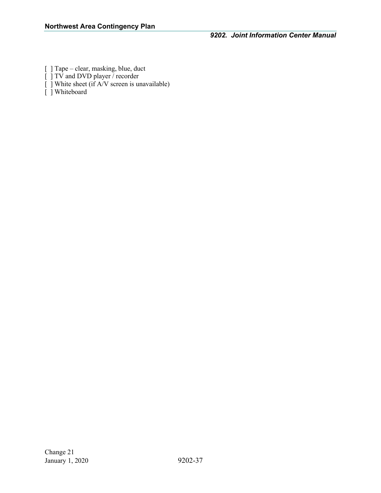- [ ] Tape clear, masking, blue, duct
- [ ] TV and DVD player / recorder
- [ ] White sheet (if A/V screen is unavailable)
- [ ] Whiteboard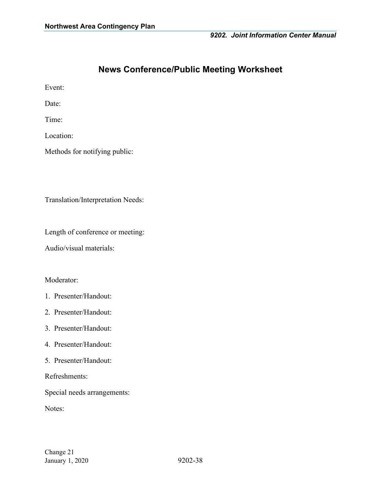## **News Conference/Public Meeting Worksheet**

Event:

Date:

Time:

Location:

Methods for notifying public:

Translation/Interpretation Needs:

Length of conference or meeting:

Audio/visual materials:

#### Moderator:

- 1. Presenter/Handout:
- 2. Presenter/Handout:
- 3. Presenter/Handout:
- 4. Presenter/Handout:
- 5. Presenter/Handout:

Refreshments:

Special needs arrangements:

Notes: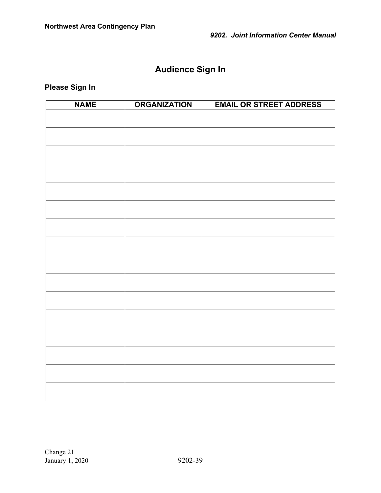# **Audience Sign In**

<span id="page-42-0"></span>**Please Sign In**

| <b>NAME</b> | <b>ORGANIZATION</b> | <b>EMAIL OR STREET ADDRESS</b> |
|-------------|---------------------|--------------------------------|
|             |                     |                                |
|             |                     |                                |
|             |                     |                                |
|             |                     |                                |
|             |                     |                                |
|             |                     |                                |
|             |                     |                                |
|             |                     |                                |
|             |                     |                                |
|             |                     |                                |
|             |                     |                                |
|             |                     |                                |
|             |                     |                                |
|             |                     |                                |
|             |                     |                                |
|             |                     |                                |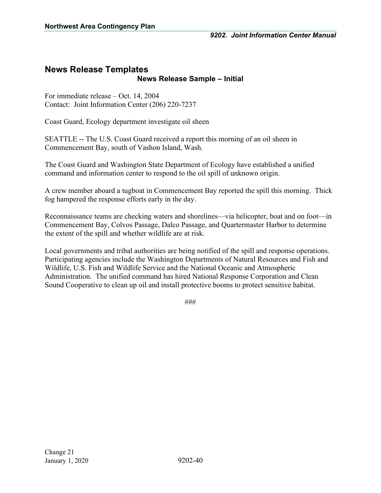## **News Release Templates News Release Sample – Initial**

For immediate release – Oct. 14, 2004 Contact: Joint Information Center (206) 220-7237

Coast Guard, Ecology department investigate oil sheen

SEATTLE -- The U.S. Coast Guard received a report this morning of an oil sheen in Commencement Bay, south of Vashon Island, Wash.

The Coast Guard and Washington State Department of Ecology have established a unified command and information center to respond to the oil spill of unknown origin.

A crew member aboard a tugboat in Commencement Bay reported the spill this morning. Thick fog hampered the response efforts early in the day.

Reconnaissance teams are checking waters and shorelines—via helicopter, boat and on foot—in Commencement Bay, Colvos Passage, Dalco Passage, and Quartermaster Harbor to determine the extent of the spill and whether wildlife are at risk.

Local governments and tribal authorities are being notified of the spill and response operations. Participating agencies include the Washington Departments of Natural Resources and Fish and Wildlife, U.S. Fish and Wildlife Service and the National Oceanic and Atmospheric Administration. The unified command has hired National Response Corporation and Clean Sound Cooperative to clean up oil and install protective booms to protect sensitive habitat.

###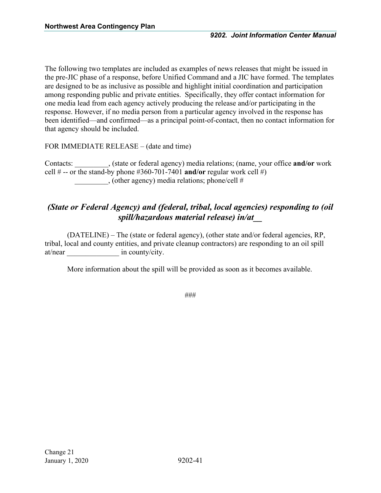The following two templates are included as examples of news releases that might be issued in the pre-JIC phase of a response, before Unified Command and a JIC have formed. The templates are designed to be as inclusive as possible and highlight initial coordination and participation among responding public and private entities. Specifically, they offer contact information for one media lead from each agency actively producing the release and/or participating in the response. However, if no media person from a particular agency involved in the response has been identified—and confirmed—as a principal point-of-contact, then no contact information for that agency should be included.

FOR IMMEDIATE RELEASE – (date and time)

Contacts: \_\_\_\_\_\_\_\_\_, (state or federal agency) media relations; (name, your office **and/or** work cell  $#$  -- or the stand-by phone  $#360-701-7401$  and/or regular work cell  $#$ ) \_\_\_\_\_\_\_\_\_, (other agency) media relations; phone/cell #

## *(State or Federal Agency) and (federal, tribal, local agencies) responding to (oil spill/hazardous material release) in/at\_\_*

(DATELINE) – The (state or federal agency), (other state and/or federal agencies, RP, tribal, local and county entities, and private cleanup contractors) are responding to an oil spill at/near in county/city.

More information about the spill will be provided as soon as it becomes available.

###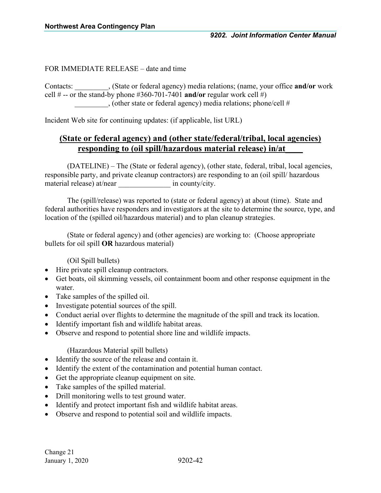#### FOR IMMEDIATE RELEASE – date and time

Contacts: \_\_\_\_\_\_\_\_\_, (State or federal agency) media relations; (name, your office **and/or** work cell  $#$  -- or the stand-by phone  $#360-701-7401$  and/or regular work cell  $#$ ) \_\_\_\_\_\_\_\_\_, (other state or federal agency) media relations; phone/cell #

Incident Web site for continuing updates: (if applicable, list URL)

## **(State or federal agency) and (other state/federal/tribal, local agencies) responding to (oil spill/hazardous material release) in/at\_\_\_\_**

(DATELINE) – The (State or federal agency), (other state, federal, tribal, local agencies, responsible party, and private cleanup contractors) are responding to an (oil spill/ hazardous material release) at/near in county/city.

The (spill/release) was reported to (state or federal agency) at about (time). State and federal authorities have responders and investigators at the site to determine the source, type, and location of the (spilled oil/hazardous material) and to plan cleanup strategies.

(State or federal agency) and (other agencies) are working to: (Choose appropriate bullets for oil spill **OR** hazardous material)

(Oil Spill bullets)

- Hire private spill cleanup contractors.
- Get boats, oil skimming vessels, oil containment boom and other response equipment in the water.
- Take samples of the spilled oil.
- Investigate potential sources of the spill.
- Conduct aerial over flights to determine the magnitude of the spill and track its location.
- Identify important fish and wildlife habitat areas.
- Observe and respond to potential shore line and wildlife impacts.

(Hazardous Material spill bullets)

- Identify the source of the release and contain it.
- Identify the extent of the contamination and potential human contact.
- Get the appropriate cleanup equipment on site.
- Take samples of the spilled material.
- Drill monitoring wells to test ground water.
- Identify and protect important fish and wildlife habitat areas.
- Observe and respond to potential soil and wildlife impacts.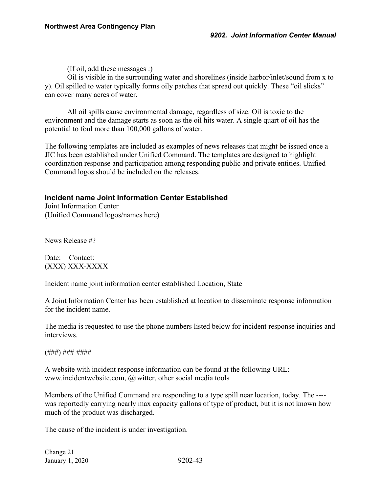(If oil, add these messages :)

Oil is visible in the surrounding water and shorelines (inside harbor/inlet/sound from x to y). Oil spilled to water typically forms oily patches that spread out quickly. These "oil slicks" can cover many acres of water.

All oil spills cause environmental damage, regardless of size. Oil is toxic to the environment and the damage starts as soon as the oil hits water. A single quart of oil has the potential to foul more than 100,000 gallons of water.

The following templates are included as examples of news releases that might be issued once a JIC has been established under Unified Command. The templates are designed to highlight coordination response and participation among responding public and private entities. Unified Command logos should be included on the releases.

#### **Incident name Joint Information Center Established**

Joint Information Center (Unified Command logos/names here)

News Release #?

Date: Contact: (XXX) XXX-XXXX

Incident name joint information center established Location, State

A Joint Information Center has been established at location to disseminate response information for the incident name.

The media is requested to use the phone numbers listed below for incident response inquiries and interviews.

(###) ###-####

A website with incident response information can be found at the following URL: www.incidentwebsite.com, @twitter, other social media tools

Members of the Unified Command are responding to a type spill near location, today. The --- was reportedly carrying nearly max capacity gallons of type of product, but it is not known how much of the product was discharged.

The cause of the incident is under investigation.

Change 21 January 1, 2020 9202-43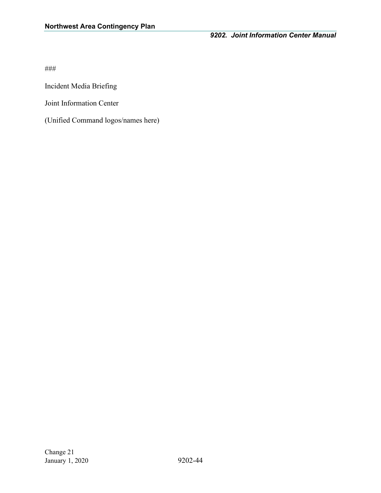Incident Media Briefing

Joint Information Center

(Unified Command logos/names here)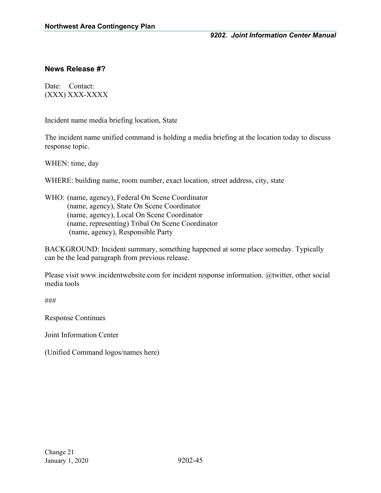#### **News Release #?**

Date: Contact: (XXX) XXX-XXXX

Incident name media briefing location, State

The incident name unified command is holding a media briefing at the location today to discuss response topic.

WHEN: time, day

WHERE: building name, room number, exact location, street address, city, state

WHO: (name, agency), Federal On Scene Coordinator (name, agency), State On Scene Coordinator (name, agency), Local On Scene Coordinator (name, representing) Tribal On Scene Coordinator (name, agency), Responsible Party

BACKGROUND: Incident summary, something happened at some place someday. Typically can be the lead paragraph from previous release.

Please visit www.incidentwebsite.com for incident response information. @twitter, other social media tools

###

Response Continues

Joint Information Center

(Unified Command logos/names here)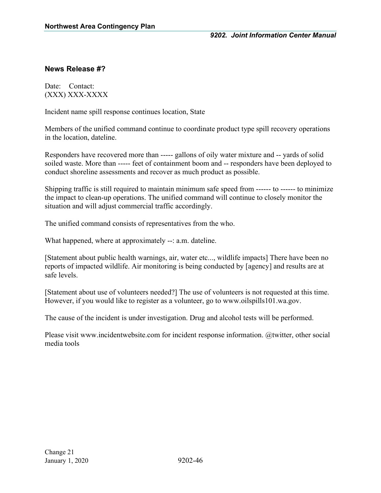### **News Release #?**

Date: Contact: (XXX) XXX-XXXX

Incident name spill response continues location, State

Members of the unified command continue to coordinate product type spill recovery operations in the location, dateline.

Responders have recovered more than ----- gallons of oily water mixture and -- yards of solid soiled waste. More than ----- feet of containment boom and -- responders have been deployed to conduct shoreline assessments and recover as much product as possible.

Shipping traffic is still required to maintain minimum safe speed from ------ to ------ to minimize the impact to clean-up operations. The unified command will continue to closely monitor the situation and will adjust commercial traffic accordingly.

The unified command consists of representatives from the who.

What happened, where at approximately --: a.m. dateline.

[Statement about public health warnings, air, water etc..., wildlife impacts] There have been no reports of impacted wildlife. Air monitoring is being conducted by [agency] and results are at safe levels.

[Statement about use of volunteers needed?] The use of volunteers is not requested at this time. However, if you would like to register as a volunteer, go to www.oilspills101.wa.gov.

The cause of the incident is under investigation. Drug and alcohol tests will be performed.

Please visit www.incidentwebsite.com for incident response information. @twitter, other social media tools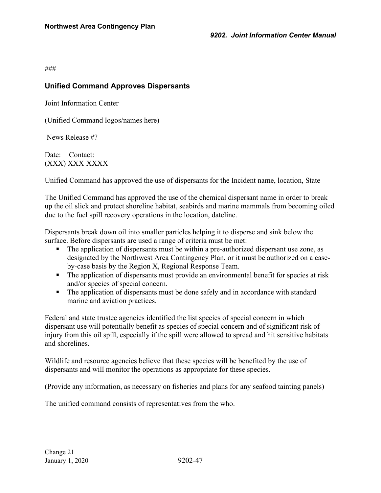### **Unified Command Approves Dispersants**

Joint Information Center

(Unified Command logos/names here)

News Release #?

Date: Contact: (XXX) XXX-XXXX

Unified Command has approved the use of dispersants for the Incident name, location, State

The Unified Command has approved the use of the chemical dispersant name in order to break up the oil slick and protect shoreline habitat, seabirds and marine mammals from becoming oiled due to the fuel spill recovery operations in the location, dateline.

Dispersants break down oil into smaller particles helping it to disperse and sink below the surface. Before dispersants are used a range of criteria must be met:

- The application of dispersants must be within a pre-authorized dispersant use zone, as designated by the Northwest Area Contingency Plan, or it must be authorized on a caseby-case basis by the Region X, Regional Response Team.
- The application of dispersants must provide an environmental benefit for species at risk and/or species of special concern.
- The application of dispersants must be done safely and in accordance with standard marine and aviation practices.

Federal and state trustee agencies identified the list species of special concern in which dispersant use will potentially benefit as species of special concern and of significant risk of injury from this oil spill, especially if the spill were allowed to spread and hit sensitive habitats and shorelines.

Wildlife and resource agencies believe that these species will be benefited by the use of dispersants and will monitor the operations as appropriate for these species.

(Provide any information, as necessary on fisheries and plans for any seafood tainting panels)

The unified command consists of representatives from the who.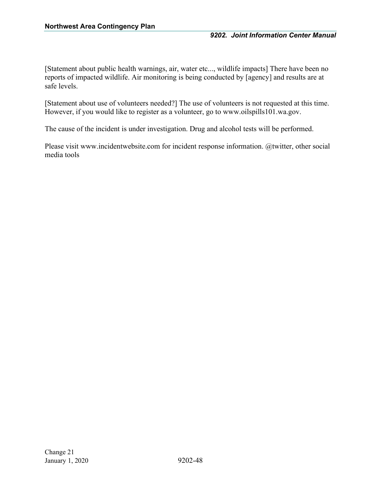[Statement about public health warnings, air, water etc..., wildlife impacts] There have been no reports of impacted wildlife. Air monitoring is being conducted by [agency] and results are at safe levels.

[Statement about use of volunteers needed?] The use of volunteers is not requested at this time. However, if you would like to register as a volunteer, go to www.oilspills101.wa.gov.

The cause of the incident is under investigation. Drug and alcohol tests will be performed.

Please visit www.incidentwebsite.com for incident response information. @twitter, other social media tools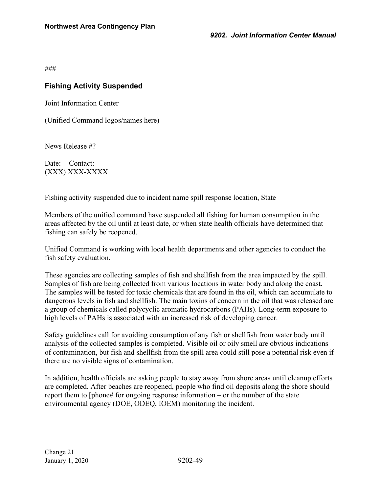## **Fishing Activity Suspended**

Joint Information Center

(Unified Command logos/names here)

News Release #?

Date: Contact: (XXX) XXX-XXXX

Fishing activity suspended due to incident name spill response location, State

Members of the unified command have suspended all fishing for human consumption in the areas affected by the oil until at least date, or when state health officials have determined that fishing can safely be reopened.

Unified Command is working with local health departments and other agencies to conduct the fish safety evaluation.

These agencies are collecting samples of fish and shellfish from the area impacted by the spill. Samples of fish are being collected from various locations in water body and along the coast. The samples will be tested for toxic chemicals that are found in the oil, which can accumulate to dangerous levels in fish and shellfish. The main toxins of concern in the oil that was released are a group of chemicals called polycyclic aromatic hydrocarbons (PAHs). Long-term exposure to high levels of PAHs is associated with an increased risk of developing cancer.

Safety guidelines call for avoiding consumption of any fish or shellfish from water body until analysis of the collected samples is completed. Visible oil or oily smell are obvious indications of contamination, but fish and shellfish from the spill area could still pose a potential risk even if there are no visible signs of contamination.

In addition, health officials are asking people to stay away from shore areas until cleanup efforts are completed. After beaches are reopened, people who find oil deposits along the shore should report them to [phone# for ongoing response information – or the number of the state environmental agency (DOE, ODEQ, IOEM) monitoring the incident.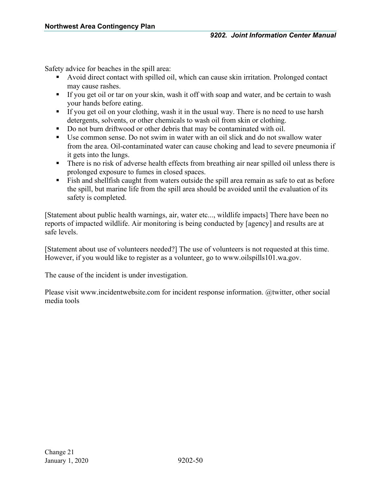Safety advice for beaches in the spill area:

- Avoid direct contact with spilled oil, which can cause skin irritation. Prolonged contact may cause rashes.
- If you get oil or tar on your skin, wash it off with soap and water, and be certain to wash your hands before eating.
- If you get oil on your clothing, wash it in the usual way. There is no need to use harsh detergents, solvents, or other chemicals to wash oil from skin or clothing.
- Do not burn driftwood or other debris that may be contaminated with oil.
- Use common sense. Do not swim in water with an oil slick and do not swallow water from the area. Oil-contaminated water can cause choking and lead to severe pneumonia if it gets into the lungs.
- There is no risk of adverse health effects from breathing air near spilled oil unless there is prolonged exposure to fumes in closed spaces.
- Fish and shellfish caught from waters outside the spill area remain as safe to eat as before the spill, but marine life from the spill area should be avoided until the evaluation of its safety is completed.

[Statement about public health warnings, air, water etc..., wildlife impacts] There have been no reports of impacted wildlife. Air monitoring is being conducted by [agency] and results are at safe levels.

[Statement about use of volunteers needed?] The use of volunteers is not requested at this time. However, if you would like to register as a volunteer, go to www.oilspills101.wa.gov.

The cause of the incident is under investigation.

Please visit www.incidentwebsite.com for incident response information. @twitter, other social media tools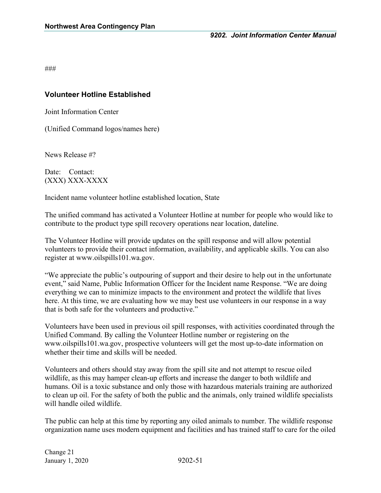### **Volunteer Hotline Established**

Joint Information Center

(Unified Command logos/names here)

News Release #?

Date: Contact: (XXX) XXX-XXXX

Incident name volunteer hotline established location, State

The unified command has activated a Volunteer Hotline at number for people who would like to contribute to the product type spill recovery operations near location, dateline.

The Volunteer Hotline will provide updates on the spill response and will allow potential volunteers to provide their contact information, availability, and applicable skills. You can also register at www.oilspills101.wa.gov.

"We appreciate the public's outpouring of support and their desire to help out in the unfortunate event," said Name, Public Information Officer for the Incident name Response. "We are doing everything we can to minimize impacts to the environment and protect the wildlife that lives here. At this time, we are evaluating how we may best use volunteers in our response in a way that is both safe for the volunteers and productive."

Volunteers have been used in previous oil spill responses, with activities coordinated through the Unified Command. By calling the Volunteer Hotline number or registering on the www.oilspills101.wa.gov, prospective volunteers will get the most up-to-date information on whether their time and skills will be needed.

Volunteers and others should stay away from the spill site and not attempt to rescue oiled wildlife, as this may hamper clean-up efforts and increase the danger to both wildlife and humans. Oil is a toxic substance and only those with hazardous materials training are authorized to clean up oil. For the safety of both the public and the animals, only trained wildlife specialists will handle oiled wildlife.

The public can help at this time by reporting any oiled animals to number. The wildlife response organization name uses modern equipment and facilities and has trained staff to care for the oiled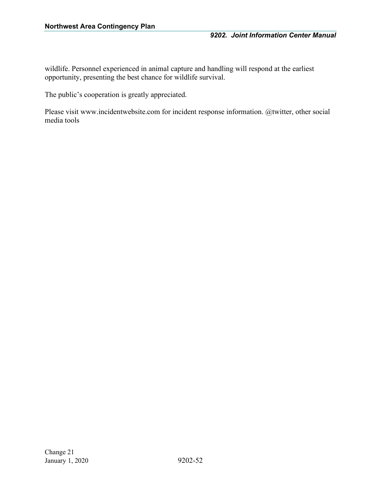wildlife. Personnel experienced in animal capture and handling will respond at the earliest opportunity, presenting the best chance for wildlife survival.

The public's cooperation is greatly appreciated.

Please visit www.incidentwebsite.com for incident response information. @twitter, other social media tools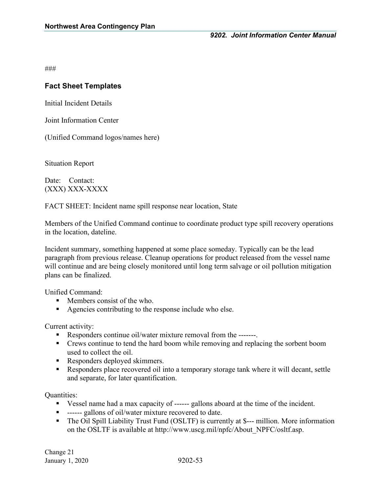### **Fact Sheet Templates**

Initial Incident Details

Joint Information Center

(Unified Command logos/names here)

Situation Report

Date: Contact: (XXX) XXX-XXXX

FACT SHEET: Incident name spill response near location, State

Members of the Unified Command continue to coordinate product type spill recovery operations in the location, dateline.

Incident summary, something happened at some place someday. Typically can be the lead paragraph from previous release. Cleanup operations for product released from the vessel name will continue and are being closely monitored until long term salvage or oil pollution mitigation plans can be finalized.

Unified Command:

- $\blacksquare$  Members consist of the who.
- Agencies contributing to the response include who else.

Current activity:

- Responders continue oil/water mixture removal from the -------.
- Crews continue to tend the hard boom while removing and replacing the sorbent boom used to collect the oil.
- Responders deployed skimmers.
- Responders place recovered oil into a temporary storage tank where it will decant, settle and separate, for later quantification.

Quantities:

- Vessel name had a max capacity of ------ gallons aboard at the time of the incident.
- **-** ------ gallons of oil/water mixture recovered to date.
- The Oil Spill Liability Trust Fund (OSLTF) is currently at \$--- million. More information on the OSLTF is available at http://www.uscg.mil/npfc/About\_NPFC/osltf.asp.

Change 21 January 1, 2020 9202-53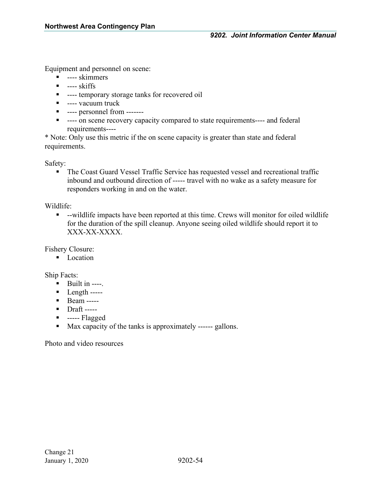Equipment and personnel on scene:

- ---- skimmers
- $\blacksquare$  ---- skiffs
- **-** ---- temporary storage tanks for recovered oil
- ---- vacuum truck
- ---- personnel from -------
- ---- on scene recovery capacity compared to state requirements---- and federal requirements----

\* Note: Only use this metric if the on scene capacity is greater than state and federal requirements.

Safety:

 The Coast Guard Vessel Traffic Service has requested vessel and recreational traffic inbound and outbound direction of ----- travel with no wake as a safety measure for responders working in and on the water.

#### Wildlife:

 --wildlife impacts have been reported at this time. Crews will monitor for oiled wildlife for the duration of the spill cleanup. Anyone seeing oiled wildlife should report it to XXX-XX-XXXX.

Fishery Closure:

• Location

Ship Facts:

- $\blacksquare$  Built in ----.
- $\blacksquare$  Length -----
- **Beam** -----
- **Draft** -----
- $\blacksquare$  ----- Flagged
- Max capacity of the tanks is approximately ------ gallons.

Photo and video resources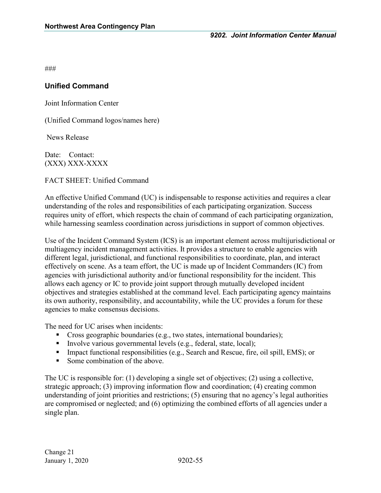### **Unified Command**

Joint Information Center

(Unified Command logos/names here)

News Release

Date: Contact: (XXX) XXX-XXXX

FACT SHEET: Unified Command

An effective Unified Command (UC) is indispensable to response activities and requires a clear understanding of the roles and responsibilities of each participating organization. Success requires unity of effort, which respects the chain of command of each participating organization, while harnessing seamless coordination across jurisdictions in support of common objectives.

Use of the Incident Command System (ICS) is an important element across multijurisdictional or multiagency incident management activities. It provides a structure to enable agencies with different legal, jurisdictional, and functional responsibilities to coordinate, plan, and interact effectively on scene. As a team effort, the UC is made up of Incident Commanders (IC) from agencies with jurisdictional authority and/or functional responsibility for the incident. This allows each agency or IC to provide joint support through mutually developed incident objectives and strategies established at the command level. Each participating agency maintains its own authority, responsibility, and accountability, while the UC provides a forum for these agencies to make consensus decisions.

The need for UC arises when incidents:

- Cross geographic boundaries (e.g., two states, international boundaries);
- Involve various governmental levels (e.g., federal, state, local);
- Impact functional responsibilities (e.g., Search and Rescue, fire, oil spill, EMS); or
- Some combination of the above.

The UC is responsible for: (1) developing a single set of objectives; (2) using a collective, strategic approach; (3) improving information flow and coordination; (4) creating common understanding of joint priorities and restrictions; (5) ensuring that no agency's legal authorities are compromised or neglected; and (6) optimizing the combined efforts of all agencies under a single plan.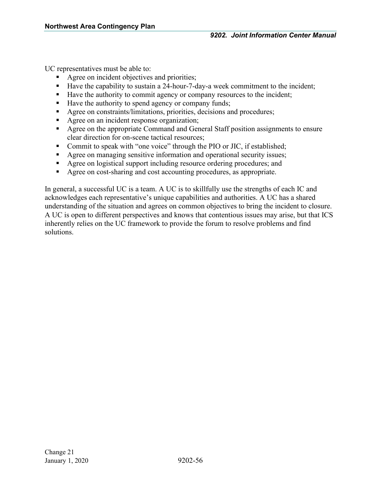UC representatives must be able to:

- Agree on incident objectives and priorities;
- Have the capability to sustain a 24-hour-7-day-a week commitment to the incident;
- Have the authority to commit agency or company resources to the incident;
- Have the authority to spend agency or company funds;
- Agree on constraints/limitations, priorities, decisions and procedures;
- Agree on an incident response organization;
- Agree on the appropriate Command and General Staff position assignments to ensure clear direction for on-scene tactical resources;
- Commit to speak with "one voice" through the PIO or JIC, if established;
- Agree on managing sensitive information and operational security issues;
- Agree on logistical support including resource ordering procedures; and
- Agree on cost-sharing and cost accounting procedures, as appropriate.

In general, a successful UC is a team. A UC is to skillfully use the strengths of each IC and acknowledges each representative's unique capabilities and authorities. A UC has a shared understanding of the situation and agrees on common objectives to bring the incident to closure. A UC is open to different perspectives and knows that contentious issues may arise, but that ICS inherently relies on the UC framework to provide the forum to resolve problems and find solutions.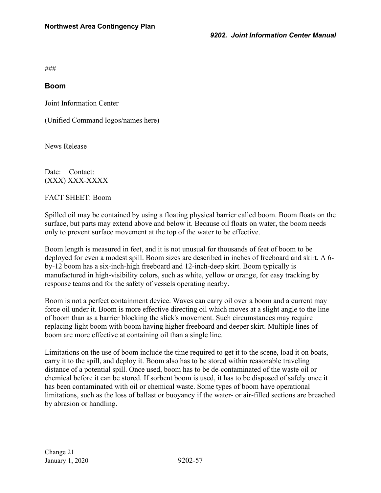#### **Boom**

Joint Information Center

(Unified Command logos/names here)

News Release

Date: Contact: (XXX) XXX-XXXX

FACT SHEET: Boom

Spilled oil may be contained by using a floating physical barrier called boom. Boom floats on the surface, but parts may extend above and below it. Because oil floats on water, the boom needs only to prevent surface movement at the top of the water to be effective.

Boom length is measured in feet, and it is not unusual for thousands of feet of boom to be deployed for even a modest spill. Boom sizes are described in inches of freeboard and skirt. A 6 by-12 boom has a six-inch-high freeboard and 12-inch-deep skirt. Boom typically is manufactured in high-visibility colors, such as white, yellow or orange, for easy tracking by response teams and for the safety of vessels operating nearby.

Boom is not a perfect containment device. Waves can carry oil over a boom and a current may force oil under it. Boom is more effective directing oil which moves at a slight angle to the line of boom than as a barrier blocking the slick's movement. Such circumstances may require replacing light boom with boom having higher freeboard and deeper skirt. Multiple lines of boom are more effective at containing oil than a single line.

Limitations on the use of boom include the time required to get it to the scene, load it on boats, carry it to the spill, and deploy it. Boom also has to be stored within reasonable traveling distance of a potential spill. Once used, boom has to be de-contaminated of the waste oil or chemical before it can be stored. If sorbent boom is used, it has to be disposed of safely once it has been contaminated with oil or chemical waste. Some types of boom have operational limitations, such as the loss of ballast or buoyancy if the water- or air-filled sections are breached by abrasion or handling.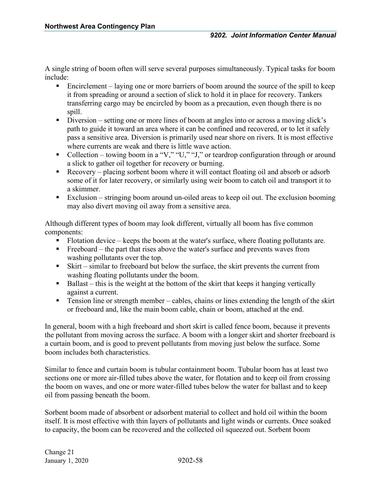A single string of boom often will serve several purposes simultaneously. Typical tasks for boom include:

- Encirclement laying one or more barriers of boom around the source of the spill to keep it from spreading or around a section of slick to hold it in place for recovery. Tankers transferring cargo may be encircled by boom as a precaution, even though there is no spill.
- Diversion setting one or more lines of boom at angles into or across a moving slick's path to guide it toward an area where it can be confined and recovered, or to let it safely pass a sensitive area. Diversion is primarily used near shore on rivers. It is most effective where currents are weak and there is little wave action.
- Collection towing boom in a "V," "U," "J," or teardrop configuration through or around a slick to gather oil together for recovery or burning.
- Recovery placing sorbent boom where it will contact floating oil and absorb or adsorb some of it for later recovery, or similarly using weir boom to catch oil and transport it to a skimmer.
- Exclusion stringing boom around un-oiled areas to keep oil out. The exclusion booming may also divert moving oil away from a sensitive area.

Although different types of boom may look different, virtually all boom has five common components:

- Flotation device keeps the boom at the water's surface, where floating pollutants are.
- Freeboard the part that rises above the water's surface and prevents waves from washing pollutants over the top.
- Skirt similar to freeboard but below the surface, the skirt prevents the current from washing floating pollutants under the boom.
- Ballast this is the weight at the bottom of the skirt that keeps it hanging vertically against a current.
- $\blacksquare$  Tension line or strength member cables, chains or lines extending the length of the skirt or freeboard and, like the main boom cable, chain or boom, attached at the end.

In general, boom with a high freeboard and short skirt is called fence boom, because it prevents the pollutant from moving across the surface. A boom with a longer skirt and shorter freeboard is a curtain boom, and is good to prevent pollutants from moving just below the surface. Some boom includes both characteristics.

Similar to fence and curtain boom is tubular containment boom. Tubular boom has at least two sections one or more air-filled tubes above the water, for flotation and to keep oil from crossing the boom on waves, and one or more water-filled tubes below the water for ballast and to keep oil from passing beneath the boom.

Sorbent boom made of absorbent or adsorbent material to collect and hold oil within the boom itself. It is most effective with thin layers of pollutants and light winds or currents. Once soaked to capacity, the boom can be recovered and the collected oil squeezed out. Sorbent boom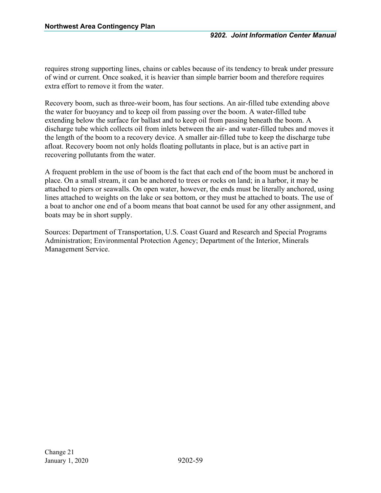requires strong supporting lines, chains or cables because of its tendency to break under pressure of wind or current. Once soaked, it is heavier than simple barrier boom and therefore requires extra effort to remove it from the water.

Recovery boom, such as three-weir boom, has four sections. An air-filled tube extending above the water for buoyancy and to keep oil from passing over the boom. A water-filled tube extending below the surface for ballast and to keep oil from passing beneath the boom. A discharge tube which collects oil from inlets between the air- and water-filled tubes and moves it the length of the boom to a recovery device. A smaller air-filled tube to keep the discharge tube afloat. Recovery boom not only holds floating pollutants in place, but is an active part in recovering pollutants from the water.

A frequent problem in the use of boom is the fact that each end of the boom must be anchored in place. On a small stream, it can be anchored to trees or rocks on land; in a harbor, it may be attached to piers or seawalls. On open water, however, the ends must be literally anchored, using lines attached to weights on the lake or sea bottom, or they must be attached to boats. The use of a boat to anchor one end of a boom means that boat cannot be used for any other assignment, and boats may be in short supply.

Sources: Department of Transportation, U.S. Coast Guard and Research and Special Programs Administration; Environmental Protection Agency; Department of the Interior, Minerals Management Service.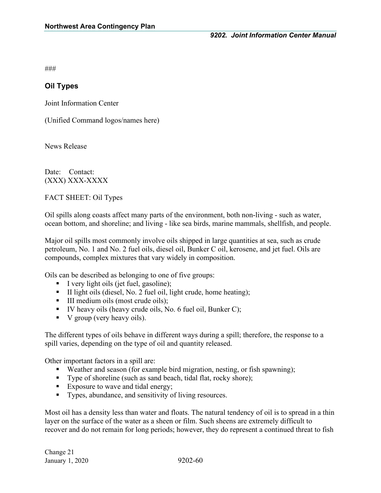### **Oil Types**

Joint Information Center

(Unified Command logos/names here)

News Release

Date: Contact: (XXX) XXX-XXXX

FACT SHEET: Oil Types

Oil spills along coasts affect many parts of the environment, both non-living - such as water, ocean bottom, and shoreline; and living - like sea birds, marine mammals, shellfish, and people.

Major oil spills most commonly involve oils shipped in large quantities at sea, such as crude petroleum, No. 1 and No. 2 fuel oils, diesel oil, Bunker C oil, kerosene, and jet fuel. Oils are compounds, complex mixtures that vary widely in composition.

Oils can be described as belonging to one of five groups:

- I very light oils (jet fuel, gasoline);
- II light oils (diesel, No. 2 fuel oil, light crude, home heating);
- III medium oils (most crude oils);
- $\blacksquare$  IV heavy oils (heavy crude oils, No. 6 fuel oil, Bunker C);
- V group (very heavy oils).

The different types of oils behave in different ways during a spill; therefore, the response to a spill varies, depending on the type of oil and quantity released.

Other important factors in a spill are:

- Weather and season (for example bird migration, nesting, or fish spawning);
- Type of shoreline (such as sand beach, tidal flat, rocky shore);
- Exposure to wave and tidal energy;
- Types, abundance, and sensitivity of living resources.

Most oil has a density less than water and floats. The natural tendency of oil is to spread in a thin layer on the surface of the water as a sheen or film. Such sheens are extremely difficult to recover and do not remain for long periods; however, they do represent a continued threat to fish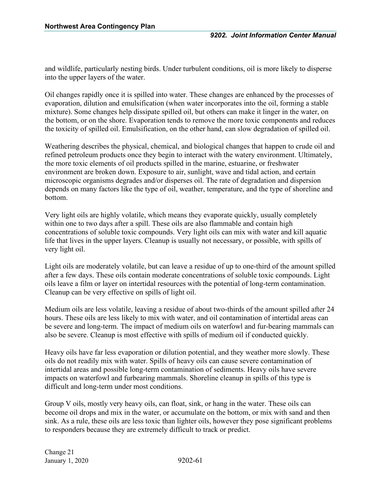and wildlife, particularly nesting birds. Under turbulent conditions, oil is more likely to disperse into the upper layers of the water.

Oil changes rapidly once it is spilled into water. These changes are enhanced by the processes of evaporation, dilution and emulsification (when water incorporates into the oil, forming a stable mixture). Some changes help dissipate spilled oil, but others can make it linger in the water, on the bottom, or on the shore. Evaporation tends to remove the more toxic components and reduces the toxicity of spilled oil. Emulsification, on the other hand, can slow degradation of spilled oil.

Weathering describes the physical, chemical, and biological changes that happen to crude oil and refined petroleum products once they begin to interact with the watery environment. Ultimately, the more toxic elements of oil products spilled in the marine, estuarine, or freshwater environment are broken down. Exposure to air, sunlight, wave and tidal action, and certain microscopic organisms degrades and/or disperses oil. The rate of degradation and dispersion depends on many factors like the type of oil, weather, temperature, and the type of shoreline and bottom.

Very light oils are highly volatile, which means they evaporate quickly, usually completely within one to two days after a spill. These oils are also flammable and contain high concentrations of soluble toxic compounds. Very light oils can mix with water and kill aquatic life that lives in the upper layers. Cleanup is usually not necessary, or possible, with spills of very light oil.

Light oils are moderately volatile, but can leave a residue of up to one-third of the amount spilled after a few days. These oils contain moderate concentrations of soluble toxic compounds. Light oils leave a film or layer on intertidal resources with the potential of long-term contamination. Cleanup can be very effective on spills of light oil.

Medium oils are less volatile, leaving a residue of about two-thirds of the amount spilled after 24 hours. These oils are less likely to mix with water, and oil contamination of intertidal areas can be severe and long-term. The impact of medium oils on waterfowl and fur-bearing mammals can also be severe. Cleanup is most effective with spills of medium oil if conducted quickly.

Heavy oils have far less evaporation or dilution potential, and they weather more slowly. These oils do not readily mix with water. Spills of heavy oils can cause severe contamination of intertidal areas and possible long-term contamination of sediments. Heavy oils have severe impacts on waterfowl and furbearing mammals. Shoreline cleanup in spills of this type is difficult and long-term under most conditions.

Group V oils, mostly very heavy oils, can float, sink, or hang in the water. These oils can become oil drops and mix in the water, or accumulate on the bottom, or mix with sand and then sink. As a rule, these oils are less toxic than lighter oils, however they pose significant problems to responders because they are extremely difficult to track or predict.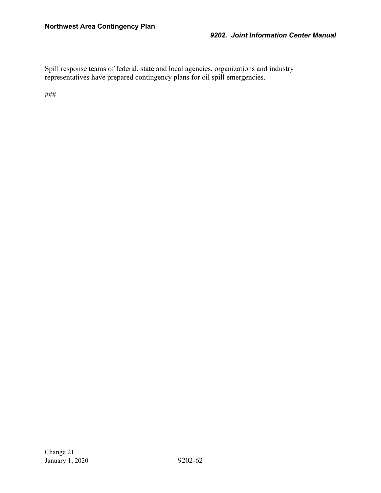Spill response teams of federal, state and local agencies, organizations and industry representatives have prepared contingency plans for oil spill emergencies.

###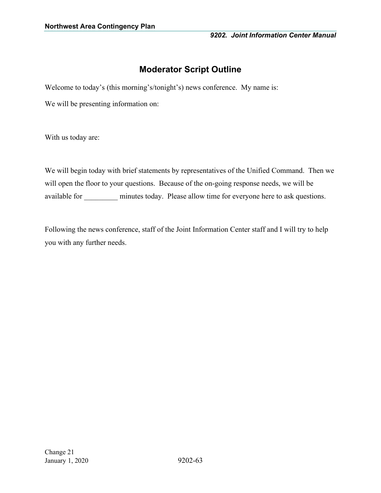# **Moderator Script Outline**

Welcome to today's (this morning's/tonight's) news conference. My name is:

We will be presenting information on:

With us today are:

We will begin today with brief statements by representatives of the Unified Command. Then we will open the floor to your questions. Because of the on-going response needs, we will be available for \_\_\_\_\_\_\_\_\_ minutes today. Please allow time for everyone here to ask questions.

Following the news conference, staff of the Joint Information Center staff and I will try to help you with any further needs.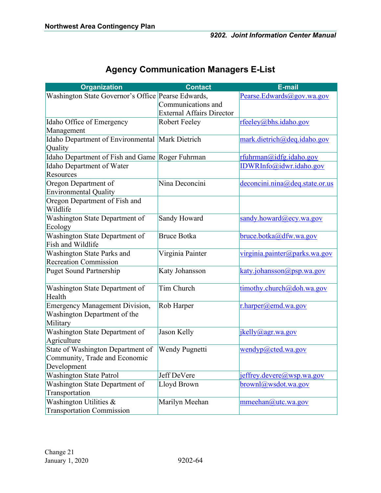| <b>Organization</b>                                | <b>Contact</b>                   | <b>E-mail</b>                  |
|----------------------------------------------------|----------------------------------|--------------------------------|
| Washington State Governor's Office Pearse Edwards, |                                  | Pearse.Edwards@gov.wa.gov      |
|                                                    | Communications and               |                                |
|                                                    | <b>External Affairs Director</b> |                                |
| Idaho Office of Emergency                          | <b>Robert Feeley</b>             | rfeeley@bhs.idaho.gov          |
| Management                                         |                                  |                                |
| Idaho Department of Environmental Mark Dietrich    |                                  | mark.dietrich@deq.idaho.gov    |
| Quality                                            |                                  |                                |
| Idaho Department of Fish and Game Roger Fuhrman    |                                  | rfuhrman@idfg.idaho.gov        |
| Idaho Department of Water                          |                                  | IDWRInfo@idwr.idaho.gov        |
| Resources                                          |                                  |                                |
| Oregon Department of                               | Nina Deconcini                   | deconcini.nina@deq.state.or.us |
| <b>Environmental Quality</b>                       |                                  |                                |
| Oregon Department of Fish and                      |                                  |                                |
| Wildlife                                           |                                  |                                |
| Washington State Department of                     | Sandy Howard                     | sandy.howard@ecy.wa.gov        |
| Ecology                                            |                                  |                                |
| Washington State Department of                     | <b>Bruce Botka</b>               | bruce.botka@dfw.wa.gov         |
| Fish and Wildlife                                  |                                  |                                |
| Washington State Parks and                         | Virginia Painter                 | virginia.painter@parks.wa.gov  |
| <b>Recreation Commission</b>                       |                                  |                                |
| <b>Puget Sound Partnership</b>                     | Katy Johansson                   | katy.johansson@psp.wa.gov      |
|                                                    |                                  |                                |
| Washington State Department of                     | Tim Church                       | timothy.church@doh.wa.gov      |
| Health                                             |                                  |                                |
| <b>Emergency Management Division,</b>              | Rob Harper                       | r.harper@end.wa.gov            |
| Washington Department of the                       |                                  |                                |
| Military                                           |                                  |                                |
| Washington State Department of                     | Jason Kelly                      | jkelly@agr.wa.gov              |
| Agriculture                                        |                                  |                                |
| State of Washington Department of                  | Wendy Pugnetti                   | wendyp@cted.wa.gov             |
| Community, Trade and Economic                      |                                  |                                |
| Development                                        |                                  |                                |
| Washington State Patrol                            | Jeff DeVere                      | jeffrey.devere@wsp.wa.gov      |
| Washington State Department of                     | Lloyd Brown                      | brownl@wsdot.wa.gov            |
| Transportation                                     |                                  |                                |
| Washington Utilities &                             | Marilyn Meehan                   | mmeehan@utc.wa.gov             |
| <b>Transportation Commission</b>                   |                                  |                                |

# **Agency Communication Managers E-List**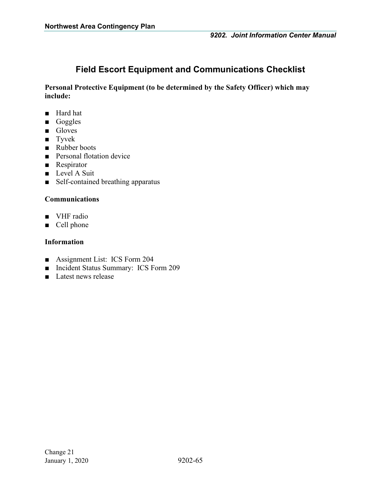# **Field Escort Equipment and Communications Checklist**

**Personal Protective Equipment (to be determined by the Safety Officer) which may include:**

- Hard hat
- Goggles
- Gloves
- Tyvek
- Rubber boots
- Personal flotation device
- Respirator
- Level A Suit
- Self-contained breathing apparatus

#### **Communications**

- VHF radio
- Cell phone

#### **Information**

- Assignment List: ICS Form 204
- Incident Status Summary: ICS Form 209
- Latest news release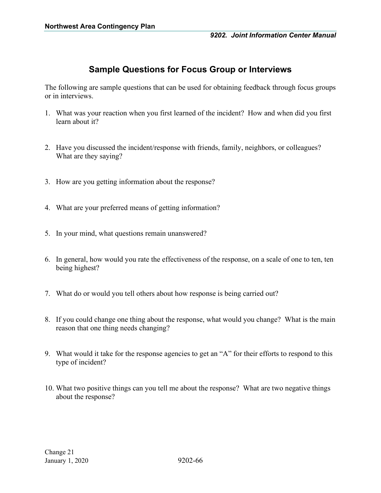## **Sample Questions for Focus Group or Interviews**

<span id="page-69-0"></span>The following are sample questions that can be used for obtaining feedback through focus groups or in interviews.

- 1. What was your reaction when you first learned of the incident? How and when did you first learn about it?
- 2. Have you discussed the incident/response with friends, family, neighbors, or colleagues? What are they saying?
- 3. How are you getting information about the response?
- 4. What are your preferred means of getting information?
- 5. In your mind, what questions remain unanswered?
- 6. In general, how would you rate the effectiveness of the response, on a scale of one to ten, ten being highest?
- 7. What do or would you tell others about how response is being carried out?
- 8. If you could change one thing about the response, what would you change? What is the main reason that one thing needs changing?
- 9. What would it take for the response agencies to get an "A" for their efforts to respond to this type of incident?
- 10. What two positive things can you tell me about the response? What are two negative things about the response?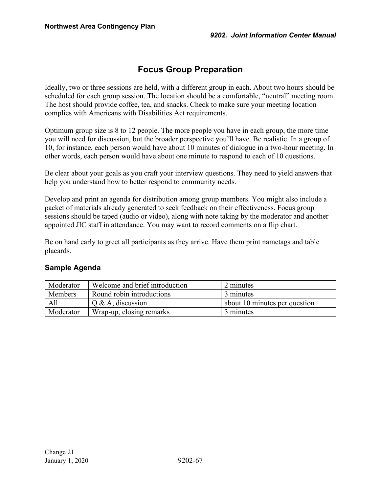# **Focus Group Preparation**

<span id="page-70-0"></span>Ideally, two or three sessions are held, with a different group in each. About two hours should be scheduled for each group session. The location should be a comfortable, "neutral" meeting room. The host should provide coffee, tea, and snacks. Check to make sure your meeting location complies with Americans with Disabilities Act requirements.

Optimum group size is 8 to 12 people. The more people you have in each group, the more time you will need for discussion, but the broader perspective you'll have. Be realistic. In a group of 10, for instance, each person would have about 10 minutes of dialogue in a two-hour meeting. In other words, each person would have about one minute to respond to each of 10 questions.

Be clear about your goals as you craft your interview questions. They need to yield answers that help you understand how to better respond to community needs.

Develop and print an agenda for distribution among group members. You might also include a packet of materials already generated to seek feedback on their effectiveness. Focus group sessions should be taped (audio or video), along with note taking by the moderator and another appointed JIC staff in attendance. You may want to record comments on a flip chart.

Be on hand early to greet all participants as they arrive. Have them print nametags and table placards.

| Moderator                                   | Welcome and brief introduction | 2 minutes                     |
|---------------------------------------------|--------------------------------|-------------------------------|
| Round robin introductions<br><b>Members</b> |                                | 3 minutes                     |
| All                                         | $\overline{O}$ & A, discussion | about 10 minutes per question |
| Moderator                                   | Wrap-up, closing remarks       | 3 minutes                     |

## **Sample Agenda**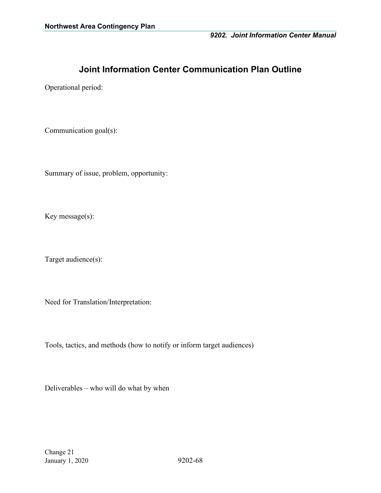# **Joint Information Center Communication Plan Outline**

Operational period:

Communication goal(s):

Summary of issue, problem, opportunity:

Key message(s):

Target audience(s):

Need for Translation/Interpretation:

Tools, tactics, and methods (how to notify or inform target audiences)

Deliverables – who will do what by when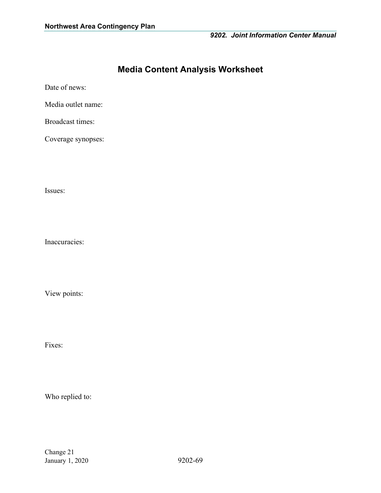# **Media Content Analysis Worksheet**

Date of news:

Media outlet name:

Broadcast times:

Coverage synopses:

Issues:

Inaccuracies:

View points:

Fixes:

Who replied to: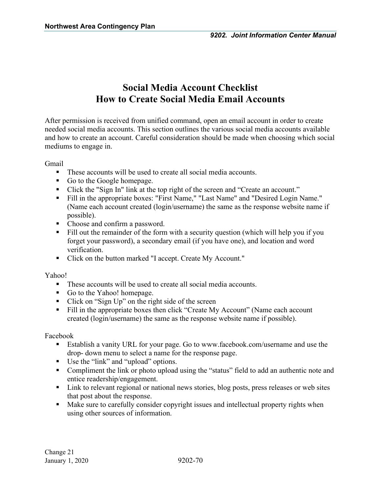# **Social Media Account Checklist How to Create Social Media Email Accounts**

After permission is received from unified command, open an email account in order to create needed social media accounts. This section outlines the various social media accounts available and how to create an account. Careful consideration should be made when choosing which social mediums to engage in.

Gmail

- These accounts will be used to create all social media accounts.
- Go to the Google homepage.
- Click the "Sign In" link at the top right of the screen and "Create an account."
- Fill in the appropriate boxes: "First Name," "Last Name" and "Desired Login Name." (Name each account created (login/username) the same as the response website name if possible).
- Choose and confirm a password.
- Fill out the remainder of the form with a security question (which will help you if you forget your password), a secondary email (if you have one), and location and word verification.
- Click on the button marked "I accept. Create My Account."

Yahoo!

- These accounts will be used to create all social media accounts.
- Go to the Yahoo! homepage.
- Click on "Sign Up" on the right side of the screen
- Fill in the appropriate boxes then click "Create My Account" (Name each account created (login/username) the same as the response website name if possible).

Facebook

- Establish a vanity URL for your page. Go to www.facebook.com/username and use the drop- down menu to select a name for the response page.
- Use the "link" and "upload" options.
- Compliment the link or photo upload using the "status" field to add an authentic note and entice readership/engagement.
- Link to relevant regional or national news stories, blog posts, press releases or web sites that post about the response.
- Make sure to carefully consider copyright issues and intellectual property rights when using other sources of information.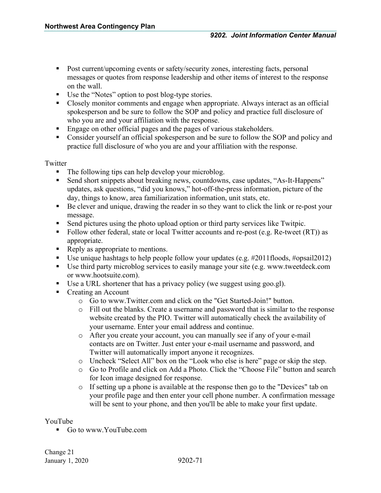- Post current/upcoming events or safety/security zones, interesting facts, personal messages or quotes from response leadership and other items of interest to the response on the wall.
- Use the "Notes" option to post blog-type stories.
- Closely monitor comments and engage when appropriate. Always interact as an official spokesperson and be sure to follow the SOP and policy and practice full disclosure of who you are and your affiliation with the response.
- **Engage on other official pages and the pages of various stakeholders.**
- Consider yourself an official spokesperson and be sure to follow the SOP and policy and practice full disclosure of who you are and your affiliation with the response.

#### **Twitter**

- The following tips can help develop your microblog.
- Send short snippets about breaking news, countdowns, case updates, "As-It-Happens" updates, ask questions, "did you knows," hot-off-the-press information, picture of the day, things to know, area familiarization information, unit stats, etc.
- Be clever and unique, drawing the reader in so they want to click the link or re-post your message.
- Send pictures using the photo upload option or third party services like Twitpic.
- Follow other federal, state or local Twitter accounts and re-post (e.g. Re-tweet (RT)) as appropriate.
- Reply as appropriate to mentions.
- Use unique hashtags to help people follow your updates (e.g. #2011floods, #opsail2012)
- Use third party microblog services to easily manage your site (e.g. www.tweetdeck.com or www.hootsuite.com).
- Use a URL shortener that has a privacy policy (we suggest using goo.gl).
- Creating an Account
	- o Go to www.Twitter.com and click on the "Get Started-Join!" button.
	- o Fill out the blanks. Create a username and password that is similar to the response website created by the PIO. Twitter will automatically check the availability of your username. Enter your email address and continue.
	- o After you create your account, you can manually see if any of your e-mail contacts are on Twitter. Just enter your e-mail username and password, and Twitter will automatically import anyone it recognizes.
	- o Uncheck "Select All" box on the "Look who else is here" page or skip the step.
	- o Go to Profile and click on Add a Photo. Click the "Choose File" button and search for Icon image designed for response.
	- o If setting up a phone is available at the response then go to the "Devices" tab on your profile page and then enter your cell phone number. A confirmation message will be sent to your phone, and then you'll be able to make your first update.

### YouTube

■ Go to www.YouTube.com

Change 21 January 1, 2020 9202-71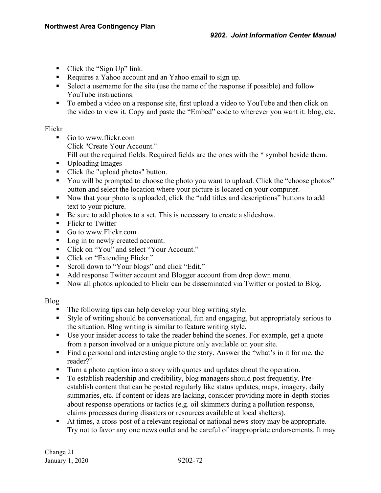- Click the "Sign Up" link.
- Requires a Yahoo account and an Yahoo email to sign up.
- Select a username for the site (use the name of the response if possible) and follow YouTube instructions.
- To embed a video on a response site, first upload a video to YouTube and then click on the video to view it. Copy and paste the "Embed" code to wherever you want it: blog, etc.

### Flickr

- Go to www.flickr.com Click "Create Your Account." Fill out the required fields. Required fields are the ones with the \* symbol beside them.
- Uploading Images
- Click the "upload photos" button.
- You will be prompted to choose the photo you want to upload. Click the "choose photos" button and select the location where your picture is located on your computer.
- Now that your photo is uploaded, click the "add titles and descriptions" buttons to add text to your picture.
- Be sure to add photos to a set. This is necessary to create a slideshow.
- Flickr to Twitter
- Go to www.Flickr.com
- Log in to newly created account.
- Click on "You" and select "Your Account."
- Click on "Extending Flickr."
- Scroll down to "Your blogs" and click "Edit."
- Add response Twitter account and Blogger account from drop down menu.
- Now all photos uploaded to Flickr can be disseminated via Twitter or posted to Blog.

### Blog

- The following tips can help develop your blog writing style.
- Style of writing should be conversational, fun and engaging, but appropriately serious to the situation. Blog writing is similar to feature writing style.
- Use your insider access to take the reader behind the scenes. For example, get a quote from a person involved or a unique picture only available on your site.
- Find a personal and interesting angle to the story. Answer the "what's in it for me, the reader?"
- Turn a photo caption into a story with quotes and updates about the operation.
- To establish readership and credibility, blog managers should post frequently. Preestablish content that can be posted regularly like status updates, maps, imagery, daily summaries, etc. If content or ideas are lacking, consider providing more in-depth stories about response operations or tactics (e.g. oil skimmers during a pollution response, claims processes during disasters or resources available at local shelters).
- At times, a cross-post of a relevant regional or national news story may be appropriate. Try not to favor any one news outlet and be careful of inappropriate endorsements. It may